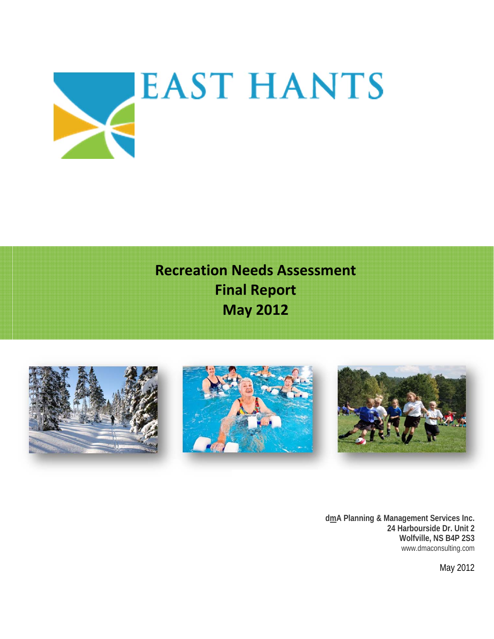

**Recreation Needs Assessment Final Report May 2012** 



**dmA Planning & Management Services Inc. 24 Harbourside Dr. Unit 2 Wolfville, NS B4P 2S3**  www.dmaconsulting.com

May 2012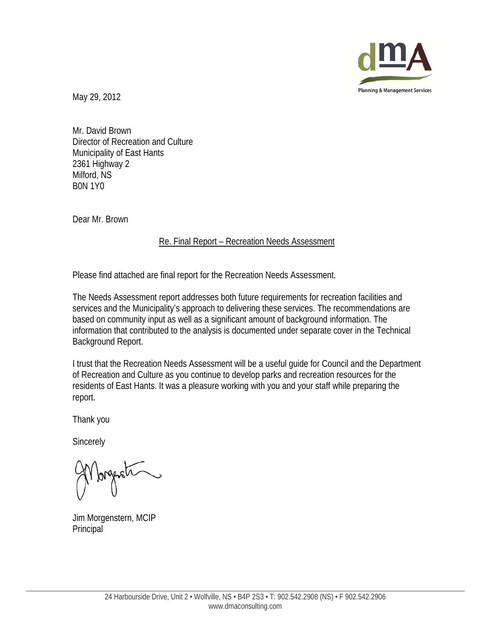

May 29, 2012

Mr. David Brown Director of Recreation and Culture Municipality of East Hants 2361 Highway 2 Milford, NS B0N 1Y0

Dear Mr. Brown

### Re. Final Report – Recreation Needs Assessment

Please find attached are final report for the Recreation Needs Assessment.

The Needs Assessment report addresses both future requirements for recreation facilities and services and the Municipality's approach to delivering these services. The recommendations are based on community input as well as a significant amount of background information. The information that contributed to the analysis is documented under separate cover in the Technical Background Report.

I trust that the Recreation Needs Assessment will be a useful guide for Council and the Department of Recreation and Culture as you continue to develop parks and recreation resources for the residents of East Hants. It was a pleasure working with you and your staff while preparing the report.

Thank you

**Sincerely** 

Jim Morgenstern, MCIP Principal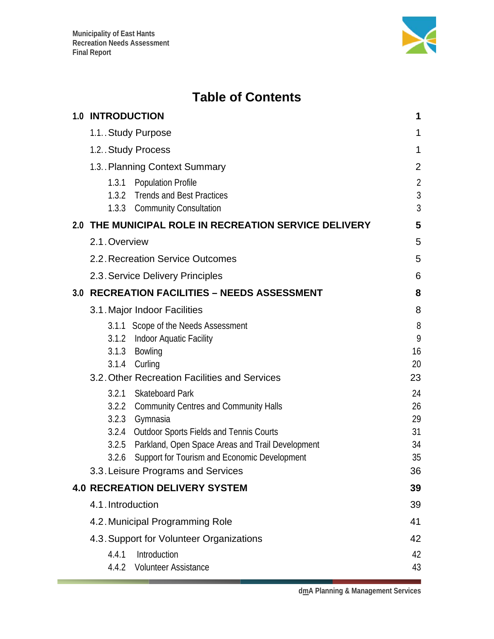

# **Table of Contents**

| <b>1.0 INTRODUCTION</b> |                                                                                                                                                                                                                                                                                          | 1                                      |
|-------------------------|------------------------------------------------------------------------------------------------------------------------------------------------------------------------------------------------------------------------------------------------------------------------------------------|----------------------------------------|
| 1.1. Study Purpose      |                                                                                                                                                                                                                                                                                          | 1                                      |
| 1.2. Study Process      |                                                                                                                                                                                                                                                                                          | 1                                      |
|                         | 1.3. Planning Context Summary                                                                                                                                                                                                                                                            | 2                                      |
| 1.3.1                   | <b>Population Profile</b><br>1.3.2 Trends and Best Practices<br>1.3.3 Community Consultation                                                                                                                                                                                             | $\overline{2}$<br>$\sqrt{3}$<br>3      |
|                         | 2.0 THE MUNICIPAL ROLE IN RECREATION SERVICE DELIVERY                                                                                                                                                                                                                                    | 5                                      |
| 2.1. Overview           |                                                                                                                                                                                                                                                                                          | 5                                      |
|                         | 2.2. Recreation Service Outcomes                                                                                                                                                                                                                                                         | 5                                      |
|                         | 2.3. Service Delivery Principles                                                                                                                                                                                                                                                         | 6                                      |
|                         | 3.0 RECREATION FACILITIES - NEEDS ASSESSMENT                                                                                                                                                                                                                                             | 8                                      |
|                         | 3.1. Major Indoor Facilities                                                                                                                                                                                                                                                             | 8                                      |
| 3.1.3<br>3.1.4          | 3.1.1 Scope of the Needs Assessment<br>3.1.2 Indoor Aquatic Facility<br>Bowling<br>Curling<br>3.2. Other Recreation Facilities and Services                                                                                                                                              | 8<br>9<br>16<br>20<br>23               |
| 3.2.1<br>3.2.6          | <b>Skateboard Park</b><br>3.2.2 Community Centres and Community Halls<br>3.2.3 Gymnasia<br>3.2.4 Outdoor Sports Fields and Tennis Courts<br>3.2.5 Parkland, Open Space Areas and Trail Development<br>Support for Tourism and Economic Development<br>3.3. Leisure Programs and Services | 24<br>26<br>29<br>31<br>34<br>35<br>36 |
|                         | <b>4.0 RECREATION DELIVERY SYSTEM</b>                                                                                                                                                                                                                                                    | 39                                     |
| 4.1. Introduction       |                                                                                                                                                                                                                                                                                          | 39                                     |
|                         | 4.2. Municipal Programming Role                                                                                                                                                                                                                                                          | 41                                     |
|                         | 4.3. Support for Volunteer Organizations                                                                                                                                                                                                                                                 | 42                                     |
| 4.4.1                   | Introduction<br>4.4.2 Volunteer Assistance                                                                                                                                                                                                                                               | 42<br>43                               |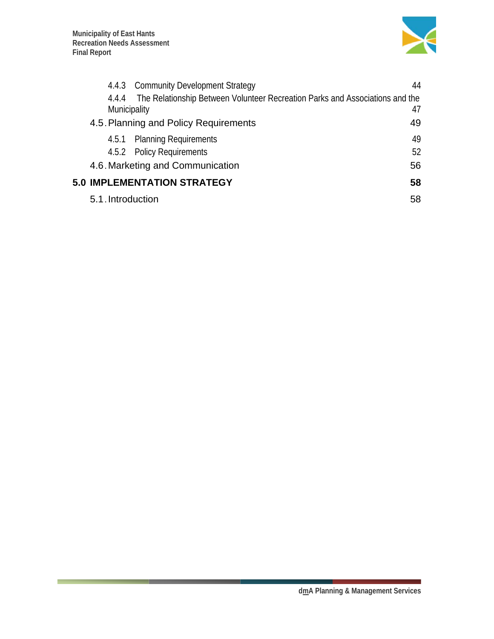

|                              | 4.4.3 Community Development Strategy                                         | 44 |
|------------------------------|------------------------------------------------------------------------------|----|
| 4.4.4<br><b>Municipality</b> | The Relationship Between Volunteer Recreation Parks and Associations and the | 47 |
|                              | 4.5. Planning and Policy Requirements                                        | 49 |
|                              | 4.5.1 Planning Requirements                                                  | 49 |
|                              | 4.5.2 Policy Requirements                                                    | 52 |
|                              | 4.6. Marketing and Communication                                             | 56 |
|                              | <b>5.0 IMPLEMENTATION STRATEGY</b>                                           | 58 |
| 5.1. Introduction            |                                                                              | 58 |
|                              |                                                                              |    |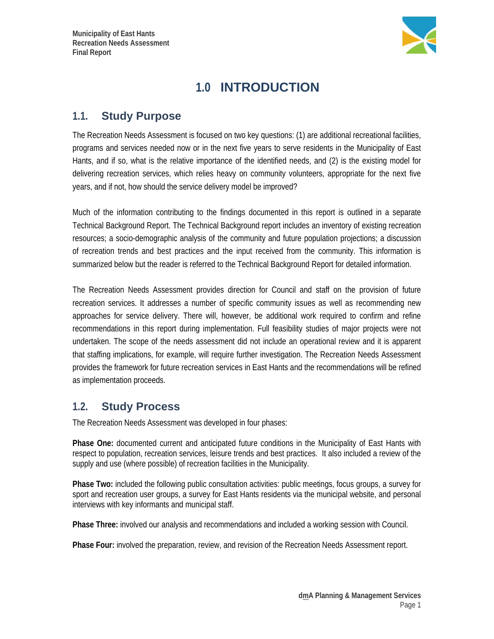

# **1.0 INTRODUCTION**

## **1.1. Study Purpose**

The Recreation Needs Assessment is focused on two key questions: (1) are additional recreational facilities, programs and services needed now or in the next five years to serve residents in the Municipality of East Hants, and if so, what is the relative importance of the identified needs, and (2) is the existing model for delivering recreation services, which relies heavy on community volunteers, appropriate for the next five years, and if not, how should the service delivery model be improved?

Much of the information contributing to the findings documented in this report is outlined in a separate Technical Background Report. The Technical Background report includes an inventory of existing recreation resources; a socio-demographic analysis of the community and future population projections; a discussion of recreation trends and best practices and the input received from the community. This information is summarized below but the reader is referred to the Technical Background Report for detailed information.

The Recreation Needs Assessment provides direction for Council and staff on the provision of future recreation services. It addresses a number of specific community issues as well as recommending new approaches for service delivery. There will, however, be additional work required to confirm and refine recommendations in this report during implementation. Full feasibility studies of major projects were not undertaken. The scope of the needs assessment did not include an operational review and it is apparent that staffing implications, for example, will require further investigation. The Recreation Needs Assessment provides the framework for future recreation services in East Hants and the recommendations will be refined as implementation proceeds.

### **1.2. Study Process**

The Recreation Needs Assessment was developed in four phases:

**Phase One:** documented current and anticipated future conditions in the Municipality of East Hants with respect to population, recreation services, leisure trends and best practices. It also included a review of the supply and use (where possible) of recreation facilities in the Municipality.

**Phase Two:** included the following public consultation activities: public meetings, focus groups, a survey for sport and recreation user groups, a survey for East Hants residents via the municipal website, and personal interviews with key informants and municipal staff.

**Phase Three:** involved our analysis and recommendations and included a working session with Council.

**Phase Four:** involved the preparation, review, and revision of the Recreation Needs Assessment report.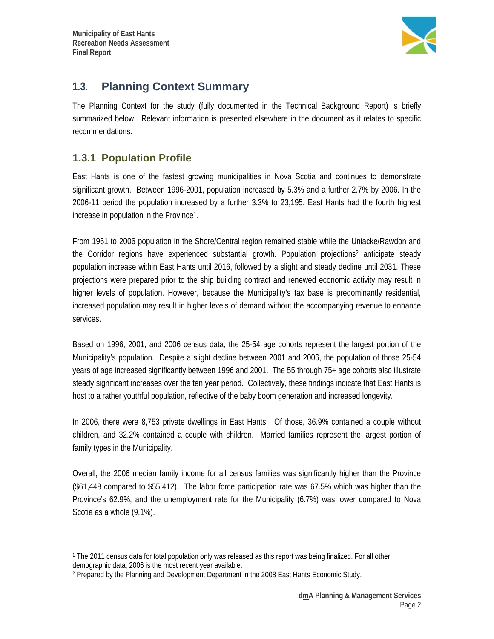

# **1.3. Planning Context Summary**

The Planning Context for the study (fully documented in the Technical Background Report) is briefly summarized below. Relevant information is presented elsewhere in the document as it relates to specific recommendations.

### **1.3.1 Population Profile**

 $\overline{a}$ 

East Hants is one of the fastest growing municipalities in Nova Scotia and continues to demonstrate significant growth. Between 1996-2001, population increased by 5.3% and a further 2.7% by 2006. In the 2006-11 period the population increased by a further 3.3% to 23,195. East Hants had the fourth highest increase in population in the Province1.

From 1961 to 2006 population in the Shore/Central region remained stable while the Uniacke/Rawdon and the Corridor regions have experienced substantial growth. Population projections<sup>2</sup> anticipate steady population increase within East Hants until 2016, followed by a slight and steady decline until 2031. These projections were prepared prior to the ship building contract and renewed economic activity may result in higher levels of population. However, because the Municipality's tax base is predominantly residential, increased population may result in higher levels of demand without the accompanying revenue to enhance services.

Based on 1996, 2001, and 2006 census data, the 25-54 age cohorts represent the largest portion of the Municipality's population. Despite a slight decline between 2001 and 2006, the population of those 25-54 years of age increased significantly between 1996 and 2001. The 55 through 75+ age cohorts also illustrate steady significant increases over the ten year period. Collectively, these findings indicate that East Hants is host to a rather youthful population, reflective of the baby boom generation and increased longevity.

In 2006, there were 8,753 private dwellings in East Hants. Of those, 36.9% contained a couple without children, and 32.2% contained a couple with children. Married families represent the largest portion of family types in the Municipality.

Overall, the 2006 median family income for all census families was significantly higher than the Province (\$61,448 compared to \$55,412). The labor force participation rate was 67.5% which was higher than the Province's 62.9%, and the unemployment rate for the Municipality (6.7%) was lower compared to Nova Scotia as a whole (9.1%).

<sup>1</sup> The 2011 census data for total population only was released as this report was being finalized. For all other demographic data, 2006 is the most recent year available.

<sup>2</sup> Prepared by the Planning and Development Department in the 2008 East Hants Economic Study.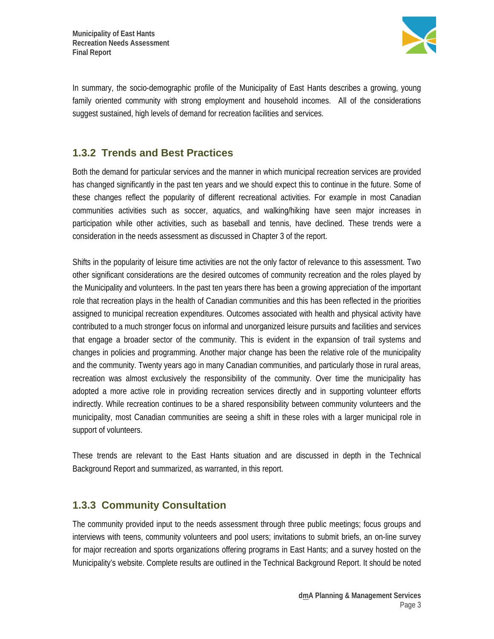

In summary, the socio-demographic profile of the Municipality of East Hants describes a growing, young family oriented community with strong employment and household incomes. All of the considerations suggest sustained, high levels of demand for recreation facilities and services.

### **1.3.2 Trends and Best Practices**

Both the demand for particular services and the manner in which municipal recreation services are provided has changed significantly in the past ten years and we should expect this to continue in the future. Some of these changes reflect the popularity of different recreational activities. For example in most Canadian communities activities such as soccer, aquatics, and walking/hiking have seen major increases in participation while other activities, such as baseball and tennis, have declined. These trends were a consideration in the needs assessment as discussed in Chapter 3 of the report.

Shifts in the popularity of leisure time activities are not the only factor of relevance to this assessment. Two other significant considerations are the desired outcomes of community recreation and the roles played by the Municipality and volunteers. In the past ten years there has been a growing appreciation of the important role that recreation plays in the health of Canadian communities and this has been reflected in the priorities assigned to municipal recreation expenditures. Outcomes associated with health and physical activity have contributed to a much stronger focus on informal and unorganized leisure pursuits and facilities and services that engage a broader sector of the community. This is evident in the expansion of trail systems and changes in policies and programming. Another major change has been the relative role of the municipality and the community. Twenty years ago in many Canadian communities, and particularly those in rural areas, recreation was almost exclusively the responsibility of the community. Over time the municipality has adopted a more active role in providing recreation services directly and in supporting volunteer efforts indirectly. While recreation continues to be a shared responsibility between community volunteers and the municipality, most Canadian communities are seeing a shift in these roles with a larger municipal role in support of volunteers.

These trends are relevant to the East Hants situation and are discussed in depth in the Technical Background Report and summarized, as warranted, in this report.

### **1.3.3 Community Consultation**

The community provided input to the needs assessment through three public meetings; focus groups and interviews with teens, community volunteers and pool users; invitations to submit briefs, an on-line survey for major recreation and sports organizations offering programs in East Hants; and a survey hosted on the Municipality's website. Complete results are outlined in the Technical Background Report. It should be noted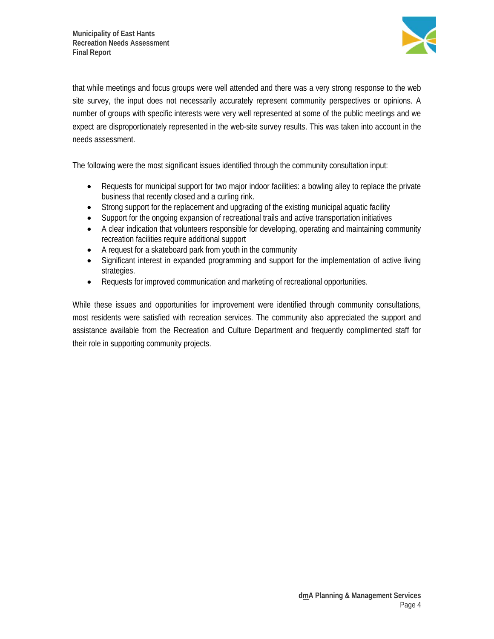

that while meetings and focus groups were well attended and there was a very strong response to the web site survey, the input does not necessarily accurately represent community perspectives or opinions. A number of groups with specific interests were very well represented at some of the public meetings and we expect are disproportionately represented in the web-site survey results. This was taken into account in the needs assessment.

The following were the most significant issues identified through the community consultation input:

- Requests for municipal support for two major indoor facilities: a bowling alley to replace the private business that recently closed and a curling rink.
- Strong support for the replacement and upgrading of the existing municipal aquatic facility
- Support for the ongoing expansion of recreational trails and active transportation initiatives
- A clear indication that volunteers responsible for developing, operating and maintaining community recreation facilities require additional support
- A request for a skateboard park from youth in the community
- Significant interest in expanded programming and support for the implementation of active living strategies.
- Requests for improved communication and marketing of recreational opportunities.

While these issues and opportunities for improvement were identified through community consultations, most residents were satisfied with recreation services. The community also appreciated the support and assistance available from the Recreation and Culture Department and frequently complimented staff for their role in supporting community projects.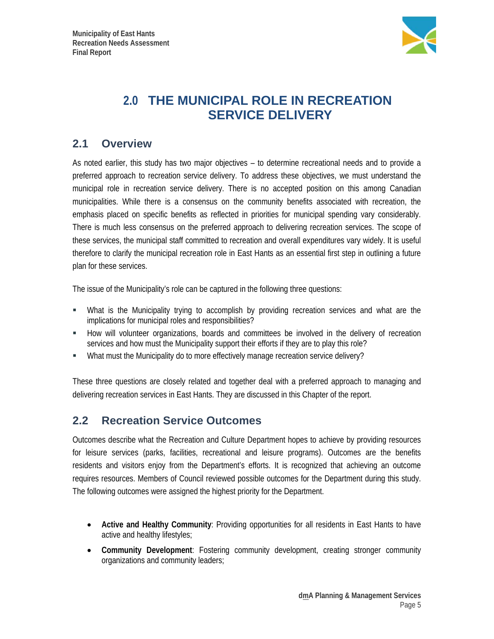

# **2.0 THE MUNICIPAL ROLE IN RECREATION SERVICE DELIVERY**

## **2.1 Overview**

As noted earlier, this study has two major objectives – to determine recreational needs and to provide a preferred approach to recreation service delivery. To address these objectives, we must understand the municipal role in recreation service delivery. There is no accepted position on this among Canadian municipalities. While there is a consensus on the community benefits associated with recreation, the emphasis placed on specific benefits as reflected in priorities for municipal spending vary considerably. There is much less consensus on the preferred approach to delivering recreation services. The scope of these services, the municipal staff committed to recreation and overall expenditures vary widely. It is useful therefore to clarify the municipal recreation role in East Hants as an essential first step in outlining a future plan for these services.

The issue of the Municipality's role can be captured in the following three questions:

- What is the Municipality trying to accomplish by providing recreation services and what are the implications for municipal roles and responsibilities?
- How will volunteer organizations, boards and committees be involved in the delivery of recreation services and how must the Municipality support their efforts if they are to play this role?
- What must the Municipality do to more effectively manage recreation service delivery?

These three questions are closely related and together deal with a preferred approach to managing and delivering recreation services in East Hants. They are discussed in this Chapter of the report.

# **2.2 Recreation Service Outcomes**

Outcomes describe what the Recreation and Culture Department hopes to achieve by providing resources for leisure services (parks, facilities, recreational and leisure programs). Outcomes are the benefits residents and visitors enjoy from the Department's efforts. It is recognized that achieving an outcome requires resources. Members of Council reviewed possible outcomes for the Department during this study. The following outcomes were assigned the highest priority for the Department.

- **Active and Healthy Community**: Providing opportunities for all residents in East Hants to have active and healthy lifestyles;
- **Community Development**: Fostering community development, creating stronger community organizations and community leaders;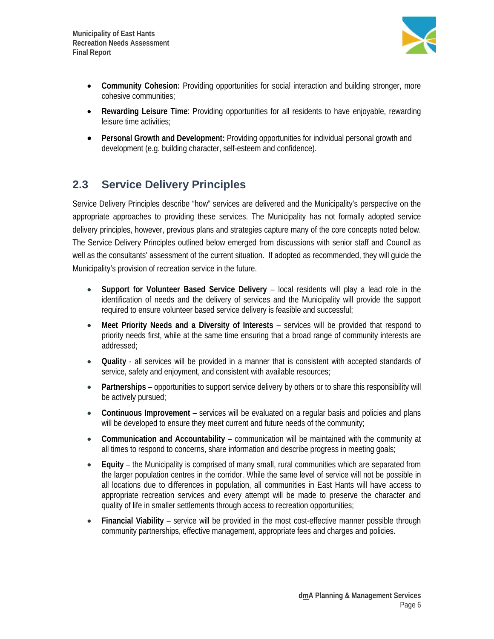

- **Community Cohesion:** Providing opportunities for social interaction and building stronger, more cohesive communities;
- **Rewarding Leisure Time**: Providing opportunities for all residents to have enjoyable, rewarding leisure time activities;
- **Personal Growth and Development:** Providing opportunities for individual personal growth and development (e.g. building character, self-esteem and confidence).

# **2.3 Service Delivery Principles**

Service Delivery Principles describe "how" services are delivered and the Municipality's perspective on the appropriate approaches to providing these services. The Municipality has not formally adopted service delivery principles, however, previous plans and strategies capture many of the core concepts noted below. The Service Delivery Principles outlined below emerged from discussions with senior staff and Council as well as the consultants' assessment of the current situation. If adopted as recommended, they will guide the Municipality's provision of recreation service in the future.

- **Support for Volunteer Based Service Delivery** local residents will play a lead role in the identification of needs and the delivery of services and the Municipality will provide the support required to ensure volunteer based service delivery is feasible and successful;
- **Meet Priority Needs and a Diversity of Interests**  services will be provided that respond to priority needs first, while at the same time ensuring that a broad range of community interests are addressed;
- **Quality** all services will be provided in a manner that is consistent with accepted standards of service, safety and enjoyment, and consistent with available resources;
- **Partnerships** opportunities to support service delivery by others or to share this responsibility will be actively pursued;
- **Continuous Improvement** services will be evaluated on a regular basis and policies and plans will be developed to ensure they meet current and future needs of the community;
- **Communication and Accountability**  communication will be maintained with the community at all times to respond to concerns, share information and describe progress in meeting goals;
- **Equity**  the Municipality is comprised of many small, rural communities which are separated from the larger population centres in the corridor. While the same level of service will not be possible in all locations due to differences in population, all communities in East Hants will have access to appropriate recreation services and every attempt will be made to preserve the character and quality of life in smaller settlements through access to recreation opportunities;
- **Financial Viability** service will be provided in the most cost-effective manner possible through community partnerships, effective management, appropriate fees and charges and policies.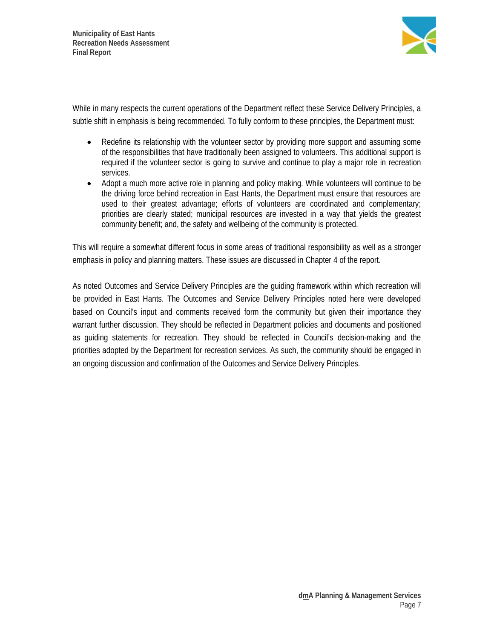

While in many respects the current operations of the Department reflect these Service Delivery Principles, a subtle shift in emphasis is being recommended. To fully conform to these principles, the Department must:

- Redefine its relationship with the volunteer sector by providing more support and assuming some of the responsibilities that have traditionally been assigned to volunteers. This additional support is required if the volunteer sector is going to survive and continue to play a major role in recreation services.
- Adopt a much more active role in planning and policy making. While volunteers will continue to be the driving force behind recreation in East Hants, the Department must ensure that resources are used to their greatest advantage; efforts of volunteers are coordinated and complementary; priorities are clearly stated; municipal resources are invested in a way that yields the greatest community benefit; and, the safety and wellbeing of the community is protected.

This will require a somewhat different focus in some areas of traditional responsibility as well as a stronger emphasis in policy and planning matters. These issues are discussed in Chapter 4 of the report.

As noted Outcomes and Service Delivery Principles are the guiding framework within which recreation will be provided in East Hants. The Outcomes and Service Delivery Principles noted here were developed based on Council's input and comments received form the community but given their importance they warrant further discussion. They should be reflected in Department policies and documents and positioned as guiding statements for recreation. They should be reflected in Council's decision-making and the priorities adopted by the Department for recreation services. As such, the community should be engaged in an ongoing discussion and confirmation of the Outcomes and Service Delivery Principles.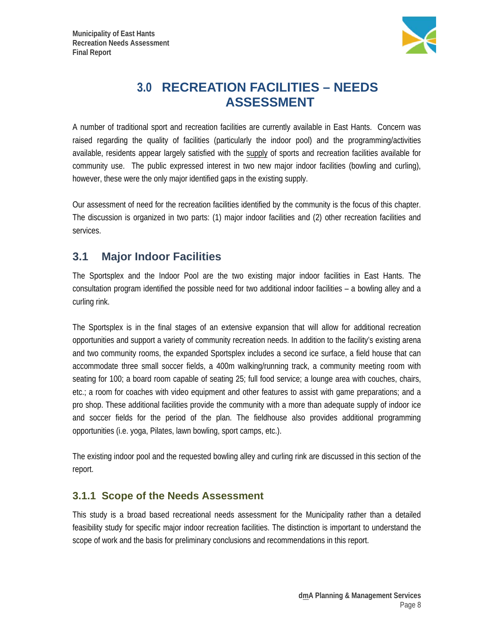

# **3.0 RECREATION FACILITIES – NEEDS ASSESSMENT**

A number of traditional sport and recreation facilities are currently available in East Hants. Concern was raised regarding the quality of facilities (particularly the indoor pool) and the programming/activities available, residents appear largely satisfied with the supply of sports and recreation facilities available for community use. The public expressed interest in two new major indoor facilities (bowling and curling), however, these were the only major identified gaps in the existing supply.

Our assessment of need for the recreation facilities identified by the community is the focus of this chapter. The discussion is organized in two parts: (1) major indoor facilities and (2) other recreation facilities and services.

# **3.1 Major Indoor Facilities**

The Sportsplex and the Indoor Pool are the two existing major indoor facilities in East Hants. The consultation program identified the possible need for two additional indoor facilities – a bowling alley and a curling rink.

The Sportsplex is in the final stages of an extensive expansion that will allow for additional recreation opportunities and support a variety of community recreation needs. In addition to the facility's existing arena and two community rooms, the expanded Sportsplex includes a second ice surface, a field house that can accommodate three small soccer fields, a 400m walking/running track, a community meeting room with seating for 100; a board room capable of seating 25; full food service; a lounge area with couches, chairs, etc.; a room for coaches with video equipment and other features to assist with game preparations; and a pro shop. These additional facilities provide the community with a more than adequate supply of indoor ice and soccer fields for the period of the plan. The fieldhouse also provides additional programming opportunities (i.e. yoga, Pilates, lawn bowling, sport camps, etc.).

The existing indoor pool and the requested bowling alley and curling rink are discussed in this section of the report.

### **3.1.1 Scope of the Needs Assessment**

This study is a broad based recreational needs assessment for the Municipality rather than a detailed feasibility study for specific major indoor recreation facilities. The distinction is important to understand the scope of work and the basis for preliminary conclusions and recommendations in this report.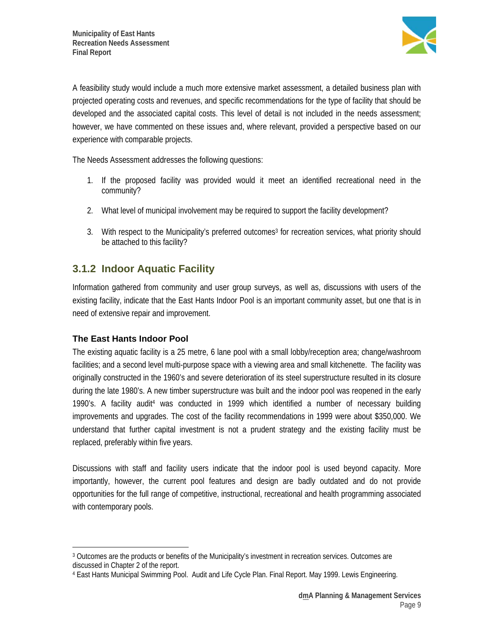

A feasibility study would include a much more extensive market assessment, a detailed business plan with projected operating costs and revenues, and specific recommendations for the type of facility that should be developed and the associated capital costs. This level of detail is not included in the needs assessment; however, we have commented on these issues and, where relevant, provided a perspective based on our experience with comparable projects.

The Needs Assessment addresses the following questions:

- 1. If the proposed facility was provided would it meet an identified recreational need in the community?
- 2. What level of municipal involvement may be required to support the facility development?
- 3. With respect to the Municipality's preferred outcomes<sup>3</sup> for recreation services, what priority should be attached to this facility?

### **3.1.2 Indoor Aquatic Facility**

Information gathered from community and user group surveys, as well as, discussions with users of the existing facility, indicate that the East Hants Indoor Pool is an important community asset, but one that is in need of extensive repair and improvement.

### **The East Hants Indoor Pool**

The existing aquatic facility is a 25 metre, 6 lane pool with a small lobby/reception area; change/washroom facilities; and a second level multi-purpose space with a viewing area and small kitchenette. The facility was originally constructed in the 1960's and severe deterioration of its steel superstructure resulted in its closure during the late 1980's. A new timber superstructure was built and the indoor pool was reopened in the early 1990's. A facility audit<sup>4</sup> was conducted in 1999 which identified a number of necessary building improvements and upgrades. The cost of the facility recommendations in 1999 were about \$350,000. We understand that further capital investment is not a prudent strategy and the existing facility must be replaced, preferably within five years.

Discussions with staff and facility users indicate that the indoor pool is used beyond capacity. More importantly, however, the current pool features and design are badly outdated and do not provide opportunities for the full range of competitive, instructional, recreational and health programming associated with contemporary pools.

 $\overline{a}$ 3 Outcomes are the products or benefits of the Municipality's investment in recreation services. Outcomes are discussed in Chapter 2 of the report.

<sup>4</sup> East Hants Municipal Swimming Pool. Audit and Life Cycle Plan. Final Report. May 1999. Lewis Engineering.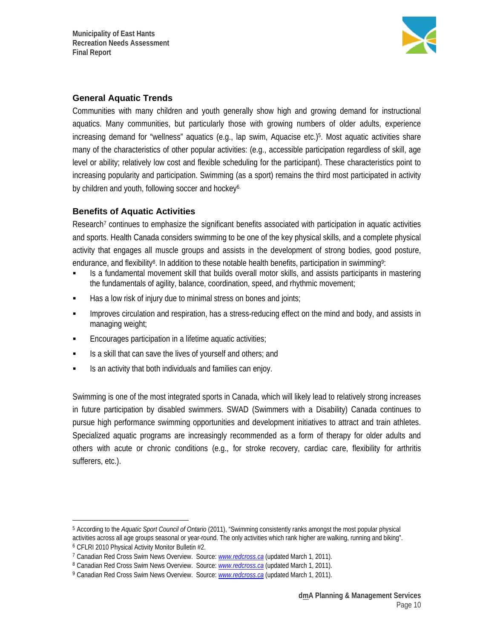

### **General Aquatic Trends**

Communities with many children and youth generally show high and growing demand for instructional aquatics. Many communities, but particularly those with growing numbers of older adults, experience increasing demand for "wellness" aquatics (e.g., lap swim, Aquacise etc.)5. Most aquatic activities share many of the characteristics of other popular activities: (e.g., accessible participation regardless of skill, age level or ability; relatively low cost and flexible scheduling for the participant). These characteristics point to increasing popularity and participation. Swimming (as a sport) remains the third most participated in activity by children and youth, following soccer and hockey<sup>6.</sup>

### **Benefits of Aquatic Activities**

 $\overline{a}$ 

Research<sup>7</sup> continues to emphasize the significant benefits associated with participation in aquatic activities and sports. Health Canada considers swimming to be one of the key physical skills, and a complete physical activity that engages all muscle groups and assists in the development of strong bodies, good posture, endurance, and flexibility<sup>8</sup>. In addition to these notable health benefits, participation in swimming<sup>9</sup>:

- Is a fundamental movement skill that builds overall motor skills, and assists participants in mastering the fundamentals of agility, balance, coordination, speed, and rhythmic movement;
- $\blacksquare$  Has a low risk of injury due to minimal stress on bones and joints;
- **IMPROVER 1.5 Improves circulation and respiration, has a stress-reducing effect on the mind and body, and assists in** managing weight;
- **Encourages participation in a lifetime aquatic activities;**
- Is a skill that can save the lives of yourself and others; and
- Is an activity that both individuals and families can enjoy.

Swimming is one of the most integrated sports in Canada, which will likely lead to relatively strong increases in future participation by disabled swimmers. SWAD (Swimmers with a Disability) Canada continues to pursue high performance swimming opportunities and development initiatives to attract and train athletes. Specialized aquatic programs are increasingly recommended as a form of therapy for older adults and others with acute or chronic conditions (e.g., for stroke recovery, cardiac care, flexibility for arthritis sufferers, etc.).

<sup>5</sup> According to the *Aquatic Sport Council of Ontario* (2011), "Swimming consistently ranks amongst the most popular physical activities across all age groups seasonal or year-round. The only activities which rank higher are walking, running and biking".<br><sup>6</sup> CFLRI 2010 Physical Activity Monitor Bulletin #2.

<sup>7</sup> Canadian Red Cross Swim News Overview. Source: *www.redcross.ca* (updated March 1, 2011).

<sup>8</sup> Canadian Red Cross Swim News Overview. Source: *www.redcross.ca* (updated March 1, 2011).

<sup>9</sup> Canadian Red Cross Swim News Overview. Source: *www.redcross.ca* (updated March 1, 2011).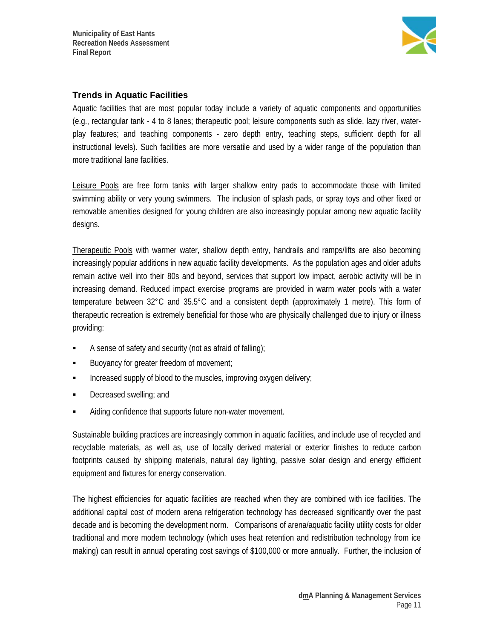

### **Trends in Aquatic Facilities**

Aquatic facilities that are most popular today include a variety of aquatic components and opportunities (e.g., rectangular tank - 4 to 8 lanes; therapeutic pool; leisure components such as slide, lazy river, waterplay features; and teaching components - zero depth entry, teaching steps, sufficient depth for all instructional levels). Such facilities are more versatile and used by a wider range of the population than more traditional lane facilities.

Leisure Pools are free form tanks with larger shallow entry pads to accommodate those with limited swimming ability or very young swimmers. The inclusion of splash pads, or spray toys and other fixed or removable amenities designed for young children are also increasingly popular among new aquatic facility designs.

Therapeutic Pools with warmer water, shallow depth entry, handrails and ramps/lifts are also becoming increasingly popular additions in new aquatic facility developments. As the population ages and older adults remain active well into their 80s and beyond, services that support low impact, aerobic activity will be in increasing demand. Reduced impact exercise programs are provided in warm water pools with a water temperature between 32°C and 35.5°C and a consistent depth (approximately 1 metre). This form of therapeutic recreation is extremely beneficial for those who are physically challenged due to injury or illness providing:

- A sense of safety and security (not as afraid of falling);
- Buoyancy for greater freedom of movement;
- $\blacksquare$  Increased supply of blood to the muscles, improving oxygen delivery;
- Decreased swelling; and
- Aiding confidence that supports future non-water movement.

Sustainable building practices are increasingly common in aquatic facilities, and include use of recycled and recyclable materials, as well as, use of locally derived material or exterior finishes to reduce carbon footprints caused by shipping materials, natural day lighting, passive solar design and energy efficient equipment and fixtures for energy conservation.

The highest efficiencies for aquatic facilities are reached when they are combined with ice facilities. The additional capital cost of modern arena refrigeration technology has decreased significantly over the past decade and is becoming the development norm. Comparisons of arena/aquatic facility utility costs for older traditional and more modern technology (which uses heat retention and redistribution technology from ice making) can result in annual operating cost savings of \$100,000 or more annually. Further, the inclusion of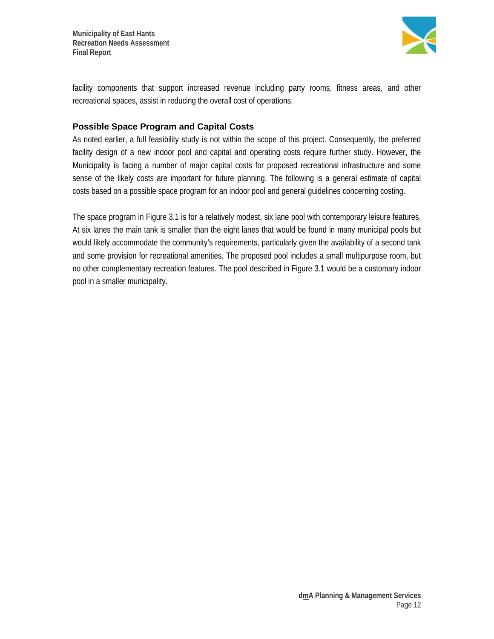

facility components that support increased revenue including party rooms, fitness areas, and other recreational spaces, assist in reducing the overall cost of operations.

#### **Possible Space Program and Capital Costs**

As noted earlier, a full feasibility study is not within the scope of this project. Consequently, the preferred facility design of a new indoor pool and capital and operating costs require further study. However, the Municipality is facing a number of major capital costs for proposed recreational infrastructure and some sense of the likely costs are important for future planning. The following is a general estimate of capital costs based on a possible space program for an indoor pool and general guidelines concerning costing.

The space program in Figure 3.1 is for a relatively modest, six lane pool with contemporary leisure features. At six lanes the main tank is smaller than the eight lanes that would be found in many municipal pools but would likely accommodate the community's requirements, particularly given the availability of a second tank and some provision for recreational amenities. The proposed pool includes a small multipurpose room, but no other complementary recreation features. The pool described in Figure 3.1 would be a customary indoor pool in a smaller municipality.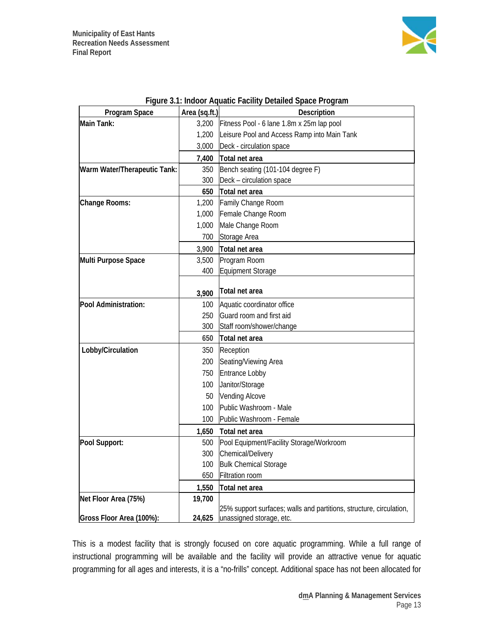

|                              |               | Figure 3.1: maoor Aquatic Facility Detailed Space Program           |
|------------------------------|---------------|---------------------------------------------------------------------|
| Program Space                | Area (sq.ft.) | Description                                                         |
| Main Tank:                   | 3,200         | Fitness Pool - 6 lane 1.8m x 25m lap pool                           |
|                              | 1,200         | Leisure Pool and Access Ramp into Main Tank                         |
|                              | 3,000         | Deck - circulation space                                            |
|                              | 7,400         | Total net area                                                      |
| Warm Water/Therapeutic Tank: | 350           | Bench seating (101-104 degree F)                                    |
|                              | 300           | Deck - circulation space                                            |
|                              | 650           | Total net area                                                      |
| Change Rooms:                | 1,200         | Family Change Room                                                  |
|                              | 1,000         | Female Change Room                                                  |
|                              | 1,000         | Male Change Room                                                    |
|                              | 700           | Storage Area                                                        |
|                              | 3,900         | Total net area                                                      |
| Multi Purpose Space          | 3,500         | Program Room                                                        |
|                              | 400           | Equipment Storage                                                   |
|                              |               |                                                                     |
|                              | 3,900         | Total net area                                                      |
| Pool Administration:         | 100           | Aquatic coordinator office                                          |
|                              | 250           | Guard room and first aid                                            |
|                              | 300           | Staff room/shower/change                                            |
|                              | 650           | Total net area                                                      |
| Lobby/Circulation            | 350           | Reception                                                           |
|                              | 200           | Seating/Viewing Area                                                |
|                              | 750           | Entrance Lobby                                                      |
|                              | 100           | Janitor/Storage                                                     |
|                              | 50            | <b>Vending Alcove</b>                                               |
|                              | 100           | Public Washroom - Male                                              |
|                              | 100           | Public Washroom - Female                                            |
|                              |               | 1,650 Total net area                                                |
| Pool Support:                | 500           | Pool Equipment/Facility Storage/Workroom                            |
|                              | 300           | Chemical/Delivery                                                   |
|                              | 100           | <b>Bulk Chemical Storage</b>                                        |
|                              | 650           | Filtration room                                                     |
|                              | 1,550         | Total net area                                                      |
| Net Floor Area (75%)         | 19,700        |                                                                     |
|                              |               | 25% support surfaces; walls and partitions, structure, circulation, |
| Gross Floor Area (100%):     | 24,625        | unassigned storage, etc.                                            |

| Figure 3.1: Indoor Aquatic Facility Detailed Space Program |  |
|------------------------------------------------------------|--|
|                                                            |  |

This is a modest facility that is strongly focused on core aquatic programming. While a full range of instructional programming will be available and the facility will provide an attractive venue for aquatic programming for all ages and interests, it is a "no-frills" concept. Additional space has not been allocated for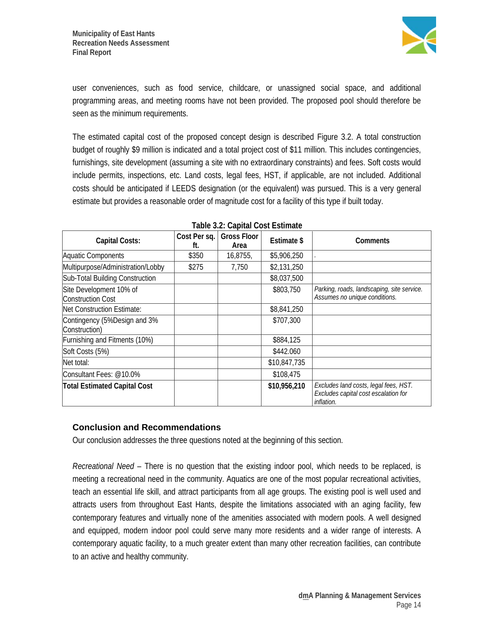

user conveniences, such as food service, childcare, or unassigned social space, and additional programming areas, and meeting rooms have not been provided. The proposed pool should therefore be seen as the minimum requirements.

The estimated capital cost of the proposed concept design is described Figure 3.2. A total construction budget of roughly \$9 million is indicated and a total project cost of \$11 million. This includes contingencies, furnishings, site development (assuming a site with no extraordinary constraints) and fees. Soft costs would include permits, inspections, etc. Land costs, legal fees, HST, if applicable, are not included. Additional costs should be anticipated if LEEDS designation (or the equivalent) was pursued. This is a very general estimate but provides a reasonable order of magnitude cost for a facility of this type if built today.

| Capital Costs:                                | Cost Per sq.<br>tt. | <b>Gross Floor</b><br>Area | Estimate \$  | Comments                                                                                    |
|-----------------------------------------------|---------------------|----------------------------|--------------|---------------------------------------------------------------------------------------------|
| Aquatic Components                            | \$350               | 16,8755,                   | \$5,906,250  |                                                                                             |
| Multipurpose/Administration/Lobby             | \$275               | 7,750                      | \$2,131,250  |                                                                                             |
| Sub-Total Building Construction               |                     |                            | \$8,037,500  |                                                                                             |
| Site Development 10% of<br>Construction Cost  |                     |                            | \$803,750    | Parking, roads, landscaping, site service.<br>Assumes no unique conditions.                 |
| Net Construction Estimate:                    |                     |                            | \$8,841,250  |                                                                                             |
| Contingency (5%Design and 3%<br>Construction) |                     |                            | \$707,300    |                                                                                             |
| Furnishing and Fitments (10%)                 |                     |                            | \$884,125    |                                                                                             |
| Soft Costs (5%)                               |                     |                            | \$442.060    |                                                                                             |
| Net total:                                    |                     |                            | \$10,847,735 |                                                                                             |
| Consultant Fees: @10.0%                       |                     |                            | \$108,475    |                                                                                             |
| <b>Total Estimated Capital Cost</b>           |                     |                            | \$10,956,210 | Excludes land costs, legal fees, HST.<br>Excludes capital cost escalation for<br>inflation. |

### **Table 3.2: Capital Cost Estimate**

#### **Conclusion and Recommendations**

 $\overline{1}$ 

Our conclusion addresses the three questions noted at the beginning of this section.

*Recreational Need* – There is no question that the existing indoor pool, which needs to be replaced, is meeting a recreational need in the community. Aquatics are one of the most popular recreational activities, teach an essential life skill, and attract participants from all age groups. The existing pool is well used and attracts users from throughout East Hants, despite the limitations associated with an aging facility, few contemporary features and virtually none of the amenities associated with modern pools. A well designed and equipped, modern indoor pool could serve many more residents and a wider range of interests. A contemporary aquatic facility, to a much greater extent than many other recreation facilities, can contribute to an active and healthy community.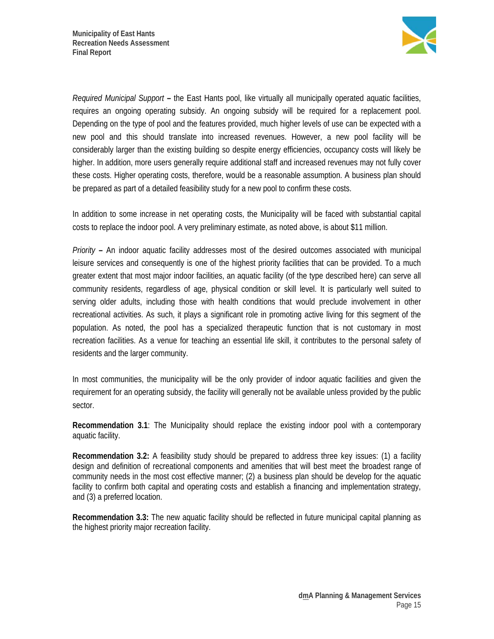

*Required Municipal Support* **–** the East Hants pool, like virtually all municipally operated aquatic facilities, requires an ongoing operating subsidy. An ongoing subsidy will be required for a replacement pool. Depending on the type of pool and the features provided, much higher levels of use can be expected with a new pool and this should translate into increased revenues. However, a new pool facility will be considerably larger than the existing building so despite energy efficiencies, occupancy costs will likely be higher. In addition, more users generally require additional staff and increased revenues may not fully cover these costs. Higher operating costs, therefore, would be a reasonable assumption. A business plan should be prepared as part of a detailed feasibility study for a new pool to confirm these costs.

In addition to some increase in net operating costs, the Municipality will be faced with substantial capital costs to replace the indoor pool. A very preliminary estimate, as noted above, is about \$11 million.

*Priority* **–** An indoor aquatic facility addresses most of the desired outcomes associated with municipal leisure services and consequently is one of the highest priority facilities that can be provided. To a much greater extent that most major indoor facilities, an aquatic facility (of the type described here) can serve all community residents, regardless of age, physical condition or skill level. It is particularly well suited to serving older adults, including those with health conditions that would preclude involvement in other recreational activities. As such, it plays a significant role in promoting active living for this segment of the population. As noted, the pool has a specialized therapeutic function that is not customary in most recreation facilities. As a venue for teaching an essential life skill, it contributes to the personal safety of residents and the larger community.

In most communities, the municipality will be the only provider of indoor aquatic facilities and given the requirement for an operating subsidy, the facility will generally not be available unless provided by the public sector.

**Recommendation 3.1**: The Municipality should replace the existing indoor pool with a contemporary aquatic facility.

**Recommendation 3.2:** A feasibility study should be prepared to address three key issues: (1) a facility design and definition of recreational components and amenities that will best meet the broadest range of community needs in the most cost effective manner; (2) a business plan should be develop for the aquatic facility to confirm both capital and operating costs and establish a financing and implementation strategy, and (3) a preferred location.

**Recommendation 3.3:** The new aquatic facility should be reflected in future municipal capital planning as the highest priority major recreation facility.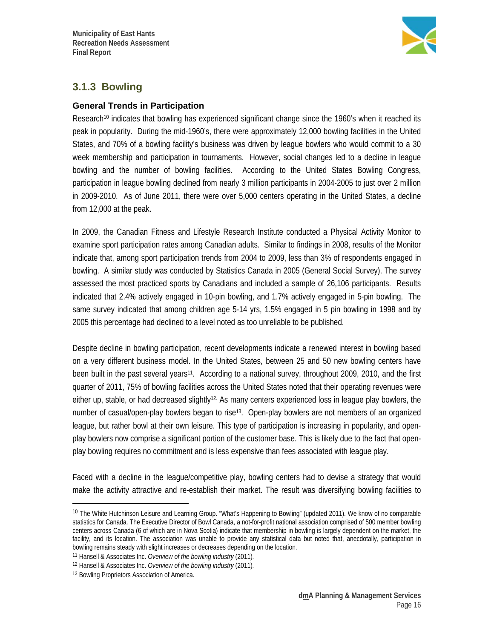

### **3.1.3 Bowling**

#### **General Trends in Participation**

Research<sup>10</sup> indicates that bowling has experienced significant change since the 1960's when it reached its peak in popularity. During the mid-1960's, there were approximately 12,000 bowling facilities in the United States, and 70% of a bowling facility's business was driven by league bowlers who would commit to a 30 week membership and participation in tournaments. However, social changes led to a decline in league bowling and the number of bowling facilities. According to the United States Bowling Congress, participation in league bowling declined from nearly 3 million participants in 2004-2005 to just over 2 million in 2009-2010. As of June 2011, there were over 5,000 centers operating in the United States, a decline from 12,000 at the peak.

In 2009, the Canadian Fitness and Lifestyle Research Institute conducted a Physical Activity Monitor to examine sport participation rates among Canadian adults. Similar to findings in 2008, results of the Monitor indicate that, among sport participation trends from 2004 to 2009, less than 3% of respondents engaged in bowling. A similar study was conducted by Statistics Canada in 2005 (General Social Survey). The survey assessed the most practiced sports by Canadians and included a sample of 26,106 participants. Results indicated that 2.4% actively engaged in 10-pin bowling, and 1.7% actively engaged in 5-pin bowling. The same survey indicated that among children age 5-14 yrs, 1.5% engaged in 5 pin bowling in 1998 and by 2005 this percentage had declined to a level noted as too unreliable to be published.

Despite decline in bowling participation, recent developments indicate a renewed interest in bowling based on a very different business model. In the United States, between 25 and 50 new bowling centers have been built in the past several years<sup>11</sup>. According to a national survey, throughout 2009, 2010, and the first quarter of 2011, 75% of bowling facilities across the United States noted that their operating revenues were either up, stable, or had decreased slightly<sup>12.</sup> As many centers experienced loss in league play bowlers, the number of casual/open-play bowlers began to rise<sup>13</sup>. Open-play bowlers are not members of an organized league, but rather bowl at their own leisure. This type of participation is increasing in popularity, and openplay bowlers now comprise a significant portion of the customer base. This is likely due to the fact that openplay bowling requires no commitment and is less expensive than fees associated with league play.

Faced with a decline in the league/competitive play, bowling centers had to devise a strategy that would make the activity attractive and re-establish their market. The result was diversifying bowling facilities to

 $\overline{a}$ 

<sup>&</sup>lt;sup>10</sup> The White Hutchinson Leisure and Learning Group. "What's Happening to Bowling" (updated 2011). We know of no comparable statistics for Canada. The Executive Director of Bowl Canada, a not-for-profit national association comprised of 500 member bowling centers across Canada (6 of which are in Nova Scotia) indicate that membership in bowling is largely dependent on the market, the facility, and its location. The association was unable to provide any statistical data but noted that, anecdotally, participation in bowling remains steady with slight increases or decreases depending on the location.

<sup>11</sup> Hansell & Associates Inc. *Overview of the bowling industry* (2011)*.*

<sup>12</sup> Hansell & Associates Inc. *Overview of the bowling industry* (2011)*.*

<sup>13</sup> Bowling Proprietors Association of America.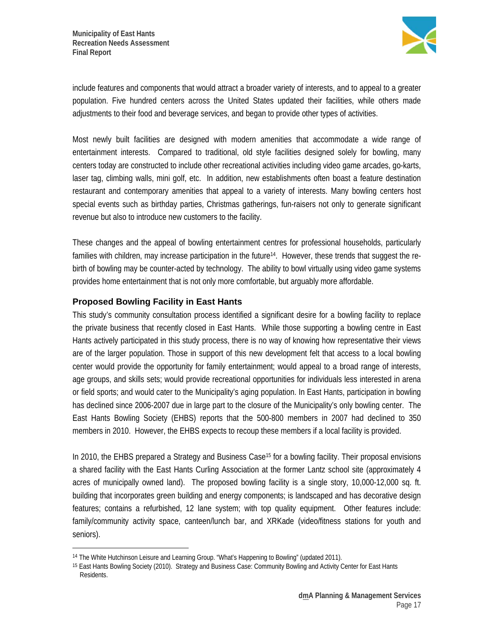

include features and components that would attract a broader variety of interests, and to appeal to a greater population. Five hundred centers across the United States updated their facilities, while others made adjustments to their food and beverage services, and began to provide other types of activities.

Most newly built facilities are designed with modern amenities that accommodate a wide range of entertainment interests. Compared to traditional, old style facilities designed solely for bowling, many centers today are constructed to include other recreational activities including video game arcades, go-karts, laser tag, climbing walls, mini golf, etc. In addition, new establishments often boast a feature destination restaurant and contemporary amenities that appeal to a variety of interests. Many bowling centers host special events such as birthday parties, Christmas gatherings, fun-raisers not only to generate significant revenue but also to introduce new customers to the facility.

These changes and the appeal of bowling entertainment centres for professional households, particularly families with children, may increase participation in the future14. However, these trends that suggest the rebirth of bowling may be counter-acted by technology. The ability to bowl virtually using video game systems provides home entertainment that is not only more comfortable, but arguably more affordable.

### **Proposed Bowling Facility in East Hants**

 $\overline{a}$ 

This study's community consultation process identified a significant desire for a bowling facility to replace the private business that recently closed in East Hants. While those supporting a bowling centre in East Hants actively participated in this study process, there is no way of knowing how representative their views are of the larger population. Those in support of this new development felt that access to a local bowling center would provide the opportunity for family entertainment; would appeal to a broad range of interests, age groups, and skills sets; would provide recreational opportunities for individuals less interested in arena or field sports; and would cater to the Municipality's aging population. In East Hants, participation in bowling has declined since 2006-2007 due in large part to the closure of the Municipality's only bowling center. The East Hants Bowling Society (EHBS) reports that the 500-800 members in 2007 had declined to 350 members in 2010. However, the EHBS expects to recoup these members if a local facility is provided.

In 2010, the EHBS prepared a Strategy and Business Case<sup>15</sup> for a bowling facility. Their proposal envisions a shared facility with the East Hants Curling Association at the former Lantz school site (approximately 4 acres of municipally owned land). The proposed bowling facility is a single story, 10,000-12,000 sq. ft. building that incorporates green building and energy components; is landscaped and has decorative design features; contains a refurbished, 12 lane system; with top quality equipment. Other features include: family/community activity space, canteen/lunch bar, and XRKade (video/fitness stations for youth and seniors).

<sup>14</sup> The White Hutchinson Leisure and Learning Group. "What's Happening to Bowling" (updated 2011).

<sup>15</sup> East Hants Bowling Society (2010). Strategy and Business Case: Community Bowling and Activity Center for East Hants Residents.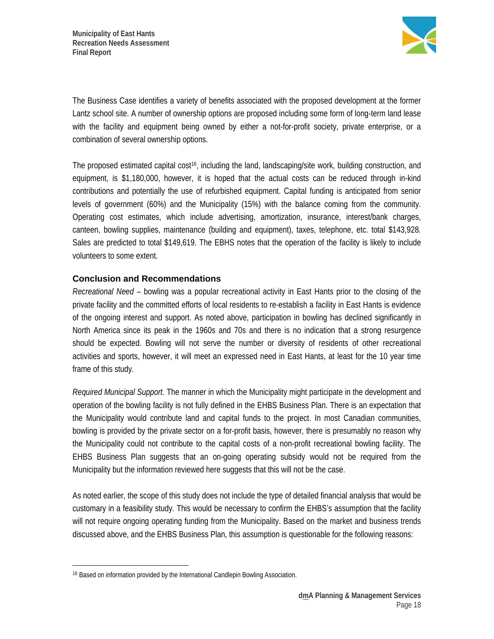

The Business Case identifies a variety of benefits associated with the proposed development at the former Lantz school site. A number of ownership options are proposed including some form of long-term land lease with the facility and equipment being owned by either a not-for-profit society, private enterprise, or a combination of several ownership options.

The proposed estimated capital cost<sup>16</sup>, including the land, landscaping/site work, building construction, and equipment, is \$1,180,000, however, it is hoped that the actual costs can be reduced through in-kind contributions and potentially the use of refurbished equipment. Capital funding is anticipated from senior levels of government (60%) and the Municipality (15%) with the balance coming from the community. Operating cost estimates, which include advertising, amortization, insurance, interest/bank charges, canteen, bowling supplies, maintenance (building and equipment), taxes, telephone, etc. total \$143,928. Sales are predicted to total \$149,619. The EBHS notes that the operation of the facility is likely to include volunteers to some extent.

### **Conclusion and Recommendations**

*Recreational Need* – bowling was a popular recreational activity in East Hants prior to the closing of the private facility and the committed efforts of local residents to re-establish a facility in East Hants is evidence of the ongoing interest and support. As noted above, participation in bowling has declined significantly in North America since its peak in the 1960s and 70s and there is no indication that a strong resurgence should be expected. Bowling will not serve the number or diversity of residents of other recreational activities and sports, however, it will meet an expressed need in East Hants, at least for the 10 year time frame of this study.

*Required Municipal Support.* The manner in which the Municipality might participate in the development and operation of the bowling facility is not fully defined in the EHBS Business Plan. There is an expectation that the Municipality would contribute land and capital funds to the project. In most Canadian communities, bowling is provided by the private sector on a for-profit basis, however, there is presumably no reason why the Municipality could not contribute to the capital costs of a non-profit recreational bowling facility. The EHBS Business Plan suggests that an on-going operating subsidy would not be required from the Municipality but the information reviewed here suggests that this will not be the case.

As noted earlier, the scope of this study does not include the type of detailed financial analysis that would be customary in a feasibility study. This would be necessary to confirm the EHBS's assumption that the facility will not require ongoing operating funding from the Municipality. Based on the market and business trends discussed above, and the EHBS Business Plan, this assumption is questionable for the following reasons:

 $\overline{a}$ 

<sup>16</sup> Based on information provided by the International Candlepin Bowling Association.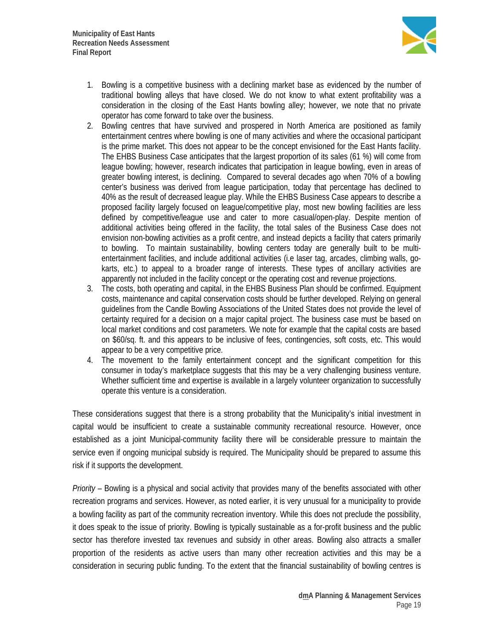

- 1. Bowling is a competitive business with a declining market base as evidenced by the number of traditional bowling alleys that have closed. We do not know to what extent profitability was a consideration in the closing of the East Hants bowling alley; however, we note that no private operator has come forward to take over the business.
- 2. Bowling centres that have survived and prospered in North America are positioned as family entertainment centres where bowling is one of many activities and where the occasional participant is the prime market. This does not appear to be the concept envisioned for the East Hants facility. The EHBS Business Case anticipates that the largest proportion of its sales (61 %) will come from league bowling; however, research indicates that participation in league bowling, even in areas of greater bowling interest, is declining. Compared to several decades ago when 70% of a bowling center's business was derived from league participation, today that percentage has declined to 40% as the result of decreased league play. While the EHBS Business Case appears to describe a proposed facility largely focused on league/competitive play, most new bowling facilities are less defined by competitive/league use and cater to more casual/open-play. Despite mention of additional activities being offered in the facility, the total sales of the Business Case does not envision non-bowling activities as a profit centre, and instead depicts a facility that caters primarily to bowling. To maintain sustainability, bowling centers today are generally built to be multientertainment facilities, and include additional activities (i.e laser tag, arcades, climbing walls, gokarts, etc.) to appeal to a broader range of interests. These types of ancillary activities are apparently not included in the facility concept or the operating cost and revenue projections.
- 3. The costs, both operating and capital, in the EHBS Business Plan should be confirmed. Equipment costs, maintenance and capital conservation costs should be further developed. Relying on general guidelines from the Candle Bowling Associations of the United States does not provide the level of certainty required for a decision on a major capital project. The business case must be based on local market conditions and cost parameters. We note for example that the capital costs are based on \$60/sq. ft. and this appears to be inclusive of fees, contingencies, soft costs, etc. This would appear to be a very competitive price.
- 4. The movement to the family entertainment concept and the significant competition for this consumer in today's marketplace suggests that this may be a very challenging business venture. Whether sufficient time and expertise is available in a largely volunteer organization to successfully operate this venture is a consideration.

These considerations suggest that there is a strong probability that the Municipality's initial investment in capital would be insufficient to create a sustainable community recreational resource. However, once established as a joint Municipal-community facility there will be considerable pressure to maintain the service even if ongoing municipal subsidy is required. The Municipality should be prepared to assume this risk if it supports the development.

*Priority* – Bowling is a physical and social activity that provides many of the benefits associated with other recreation programs and services. However, as noted earlier, it is very unusual for a municipality to provide a bowling facility as part of the community recreation inventory. While this does not preclude the possibility, it does speak to the issue of priority. Bowling is typically sustainable as a for-profit business and the public sector has therefore invested tax revenues and subsidy in other areas. Bowling also attracts a smaller proportion of the residents as active users than many other recreation activities and this may be a consideration in securing public funding. To the extent that the financial sustainability of bowling centres is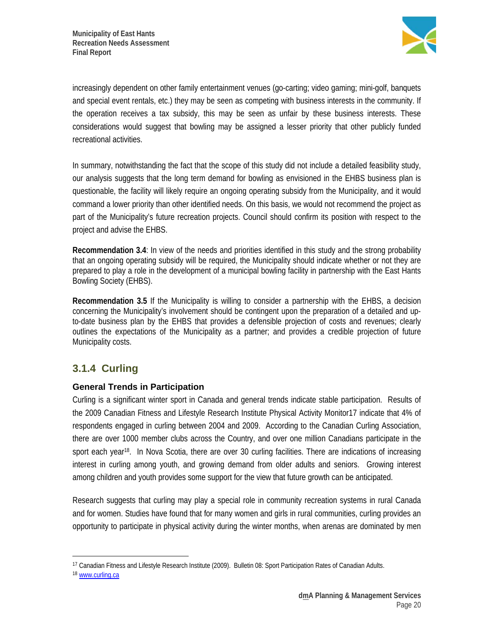

increasingly dependent on other family entertainment venues (go-carting; video gaming; mini-golf, banquets and special event rentals, etc.) they may be seen as competing with business interests in the community. If the operation receives a tax subsidy, this may be seen as unfair by these business interests. These considerations would suggest that bowling may be assigned a lesser priority that other publicly funded recreational activities.

In summary, notwithstanding the fact that the scope of this study did not include a detailed feasibility study, our analysis suggests that the long term demand for bowling as envisioned in the EHBS business plan is questionable, the facility will likely require an ongoing operating subsidy from the Municipality, and it would command a lower priority than other identified needs. On this basis, we would not recommend the project as part of the Municipality's future recreation projects. Council should confirm its position with respect to the project and advise the EHBS.

**Recommendation 3.4**: In view of the needs and priorities identified in this study and the strong probability that an ongoing operating subsidy will be required, the Municipality should indicate whether or not they are prepared to play a role in the development of a municipal bowling facility in partnership with the East Hants Bowling Society (EHBS).

**Recommendation 3.5** If the Municipality is willing to consider a partnership with the EHBS, a decision concerning the Municipality's involvement should be contingent upon the preparation of a detailed and upto-date business plan by the EHBS that provides a defensible projection of costs and revenues; clearly outlines the expectations of the Municipality as a partner; and provides a credible projection of future Municipality costs.

### **3.1.4 Curling**

### **General Trends in Participation**

Curling is a significant winter sport in Canada and general trends indicate stable participation. Results of the 2009 Canadian Fitness and Lifestyle Research Institute Physical Activity Monitor17 indicate that 4% of respondents engaged in curling between 2004 and 2009. According to the Canadian Curling Association, there are over 1000 member clubs across the Country, and over one million Canadians participate in the sport each year<sup>18</sup>. In Nova Scotia, there are over 30 curling facilities. There are indications of increasing interest in curling among youth, and growing demand from older adults and seniors. Growing interest among children and youth provides some support for the view that future growth can be anticipated.

Research suggests that curling may play a special role in community recreation systems in rural Canada and for women. Studies have found that for many women and girls in rural communities, curling provides an opportunity to participate in physical activity during the winter months, when arenas are dominated by men

 $\overline{a}$ 

<sup>17</sup> Canadian Fitness and Lifestyle Research Institute (2009). Bulletin 08: Sport Participation Rates of Canadian Adults.

<sup>18</sup> www.curling.ca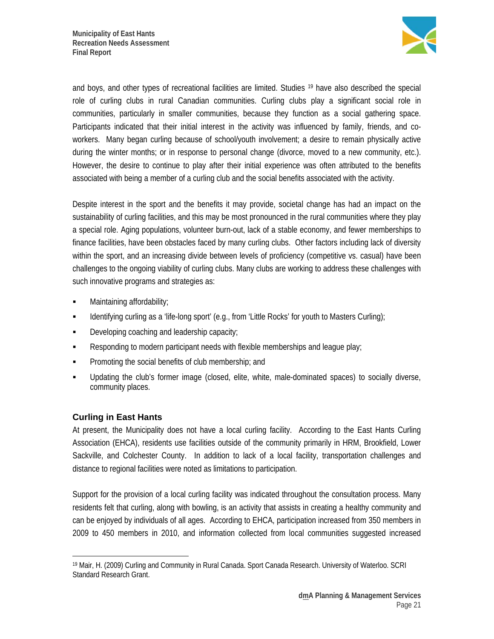

and boys, and other types of recreational facilities are limited. Studies 19 have also described the special role of curling clubs in rural Canadian communities. Curling clubs play a significant social role in communities, particularly in smaller communities, because they function as a social gathering space. Participants indicated that their initial interest in the activity was influenced by family, friends, and coworkers. Many began curling because of school/youth involvement; a desire to remain physically active during the winter months; or in response to personal change (divorce, moved to a new community, etc.). However, the desire to continue to play after their initial experience was often attributed to the benefits associated with being a member of a curling club and the social benefits associated with the activity.

Despite interest in the sport and the benefits it may provide, societal change has had an impact on the sustainability of curling facilities, and this may be most pronounced in the rural communities where they play a special role. Aging populations, volunteer burn-out, lack of a stable economy, and fewer memberships to finance facilities, have been obstacles faced by many curling clubs. Other factors including lack of diversity within the sport, and an increasing divide between levels of proficiency (competitive vs. casual) have been challenges to the ongoing viability of curling clubs. Many clubs are working to address these challenges with such innovative programs and strategies as:

- Maintaining affordability;
- **IDENT IDENTIFY** Identifying curling as a 'life-long sport' (e.g., from 'Little Rocks' for youth to Masters Curling);
- **Developing coaching and leadership capacity;**
- Responding to modern participant needs with flexible memberships and league play;
- **Promoting the social benefits of club membership; and**
- Updating the club's former image (closed, elite, white, male-dominated spaces) to socially diverse, community places.

### **Curling in East Hants**

At present, the Municipality does not have a local curling facility. According to the East Hants Curling Association (EHCA), residents use facilities outside of the community primarily in HRM, Brookfield, Lower Sackville, and Colchester County. In addition to lack of a local facility, transportation challenges and distance to regional facilities were noted as limitations to participation.

Support for the provision of a local curling facility was indicated throughout the consultation process. Many residents felt that curling, along with bowling, is an activity that assists in creating a healthy community and can be enjoyed by individuals of all ages. According to EHCA, participation increased from 350 members in 2009 to 450 members in 2010, and information collected from local communities suggested increased

 $\overline{a}$ 19 Mair, H. (2009) Curling and Community in Rural Canada. Sport Canada Research. University of Waterloo. SCRI Standard Research Grant.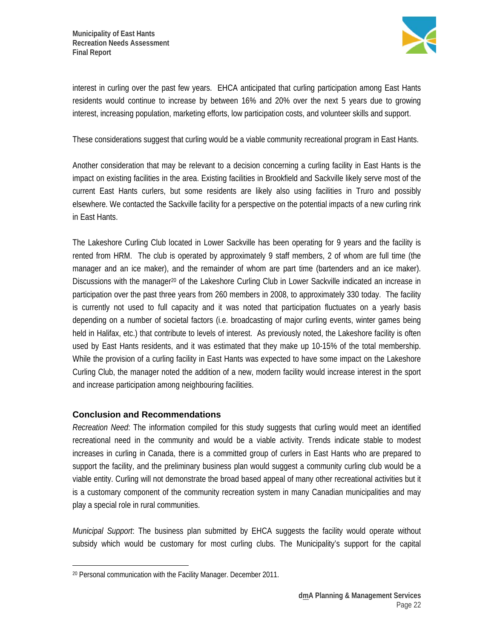

interest in curling over the past few years. EHCA anticipated that curling participation among East Hants residents would continue to increase by between 16% and 20% over the next 5 years due to growing interest, increasing population, marketing efforts, low participation costs, and volunteer skills and support.

These considerations suggest that curling would be a viable community recreational program in East Hants.

Another consideration that may be relevant to a decision concerning a curling facility in East Hants is the impact on existing facilities in the area. Existing facilities in Brookfield and Sackville likely serve most of the current East Hants curlers, but some residents are likely also using facilities in Truro and possibly elsewhere. We contacted the Sackville facility for a perspective on the potential impacts of a new curling rink in East Hants.

The Lakeshore Curling Club located in Lower Sackville has been operating for 9 years and the facility is rented from HRM. The club is operated by approximately 9 staff members, 2 of whom are full time (the manager and an ice maker), and the remainder of whom are part time (bartenders and an ice maker). Discussions with the manager<sup>20</sup> of the Lakeshore Curling Club in Lower Sackville indicated an increase in participation over the past three years from 260 members in 2008, to approximately 330 today. The facility is currently not used to full capacity and it was noted that participation fluctuates on a yearly basis depending on a number of societal factors (i.e. broadcasting of major curling events, winter games being held in Halifax, etc.) that contribute to levels of interest. As previously noted, the Lakeshore facility is often used by East Hants residents, and it was estimated that they make up 10-15% of the total membership. While the provision of a curling facility in East Hants was expected to have some impact on the Lakeshore Curling Club, the manager noted the addition of a new, modern facility would increase interest in the sport and increase participation among neighbouring facilities.

### **Conclusion and Recommendations**

*Recreation Need*: The information compiled for this study suggests that curling would meet an identified recreational need in the community and would be a viable activity. Trends indicate stable to modest increases in curling in Canada, there is a committed group of curlers in East Hants who are prepared to support the facility, and the preliminary business plan would suggest a community curling club would be a viable entity. Curling will not demonstrate the broad based appeal of many other recreational activities but it is a customary component of the community recreation system in many Canadian municipalities and may play a special role in rural communities.

*Municipal Support*: The business plan submitted by EHCA suggests the facility would operate without subsidy which would be customary for most curling clubs. The Municipality's support for the capital

 $\overline{a}$ 20 Personal communication with the Facility Manager. December 2011.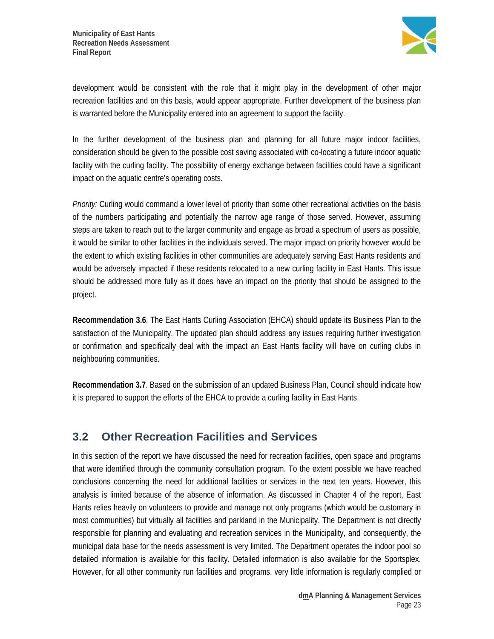

development would be consistent with the role that it might play in the development of other major recreation facilities and on this basis, would appear appropriate. Further development of the business plan is warranted before the Municipality entered into an agreement to support the facility.

In the further development of the business plan and planning for all future major indoor facilities, consideration should be given to the possible cost saving associated with co-locating a future indoor aquatic facility with the curling facility. The possibility of energy exchange between facilities could have a significant impact on the aquatic centre's operating costs.

*Priority:* Curling would command a lower level of priority than some other recreational activities on the basis of the numbers participating and potentially the narrow age range of those served. However, assuming steps are taken to reach out to the larger community and engage as broad a spectrum of users as possible, it would be similar to other facilities in the individuals served. The major impact on priority however would be the extent to which existing facilities in other communities are adequately serving East Hants residents and would be adversely impacted if these residents relocated to a new curling facility in East Hants. This issue should be addressed more fully as it does have an impact on the priority that should be assigned to the project.

**Recommendation 3.6**. The East Hants Curling Association (EHCA) should update its Business Plan to the satisfaction of the Municipality. The updated plan should address any issues requiring further investigation or confirmation and specifically deal with the impact an East Hants facility will have on curling clubs in neighbouring communities.

**Recommendation 3.7**. Based on the submission of an updated Business Plan, Council should indicate how it is prepared to support the efforts of the EHCA to provide a curling facility in East Hants.

# **3.2 Other Recreation Facilities and Services**

In this section of the report we have discussed the need for recreation facilities, open space and programs that were identified through the community consultation program. To the extent possible we have reached conclusions concerning the need for additional facilities or services in the next ten years. However, this analysis is limited because of the absence of information. As discussed in Chapter 4 of the report, East Hants relies heavily on volunteers to provide and manage not only programs (which would be customary in most communities) but virtually all facilities and parkland in the Municipality. The Department is not directly responsible for planning and evaluating and recreation services in the Municipality, and consequently, the municipal data base for the needs assessment is very limited. The Department operates the indoor pool so detailed information is available for this facility. Detailed information is also available for the Sportsplex. However, for all other community run facilities and programs, very little information is regularly complied or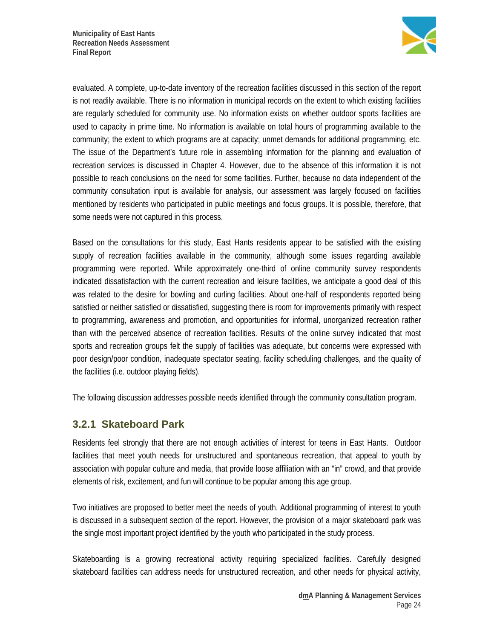

evaluated. A complete, up-to-date inventory of the recreation facilities discussed in this section of the report is not readily available. There is no information in municipal records on the extent to which existing facilities are regularly scheduled for community use. No information exists on whether outdoor sports facilities are used to capacity in prime time. No information is available on total hours of programming available to the community; the extent to which programs are at capacity; unmet demands for additional programming, etc. The issue of the Department's future role in assembling information for the planning and evaluation of recreation services is discussed in Chapter 4. However, due to the absence of this information it is not possible to reach conclusions on the need for some facilities. Further, because no data independent of the community consultation input is available for analysis, our assessment was largely focused on facilities mentioned by residents who participated in public meetings and focus groups. It is possible, therefore, that some needs were not captured in this process.

Based on the consultations for this study, East Hants residents appear to be satisfied with the existing supply of recreation facilities available in the community, although some issues regarding available programming were reported. While approximately one-third of online community survey respondents indicated dissatisfaction with the current recreation and leisure facilities, we anticipate a good deal of this was related to the desire for bowling and curling facilities. About one-half of respondents reported being satisfied or neither satisfied or dissatisfied, suggesting there is room for improvements primarily with respect to programming, awareness and promotion, and opportunities for informal, unorganized recreation rather than with the perceived absence of recreation facilities. Results of the online survey indicated that most sports and recreation groups felt the supply of facilities was adequate, but concerns were expressed with poor design/poor condition, inadequate spectator seating, facility scheduling challenges, and the quality of the facilities (i.e. outdoor playing fields).

The following discussion addresses possible needs identified through the community consultation program.

### **3.2.1 Skateboard Park**

Residents feel strongly that there are not enough activities of interest for teens in East Hants. Outdoor facilities that meet youth needs for unstructured and spontaneous recreation, that appeal to youth by association with popular culture and media, that provide loose affiliation with an "in" crowd, and that provide elements of risk, excitement, and fun will continue to be popular among this age group.

Two initiatives are proposed to better meet the needs of youth. Additional programming of interest to youth is discussed in a subsequent section of the report. However, the provision of a major skateboard park was the single most important project identified by the youth who participated in the study process.

Skateboarding is a growing recreational activity requiring specialized facilities. Carefully designed skateboard facilities can address needs for unstructured recreation, and other needs for physical activity,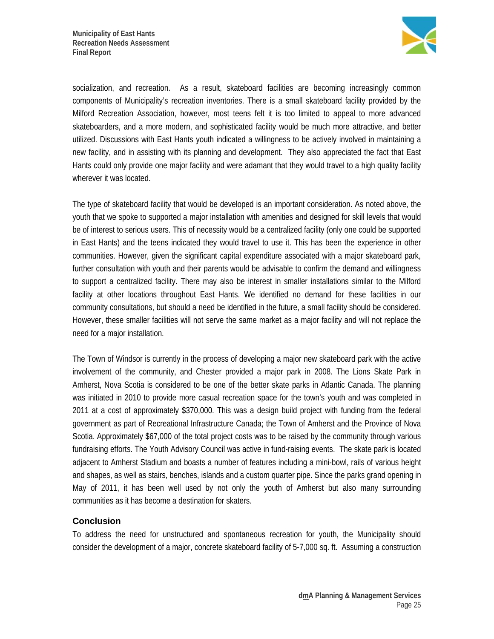

socialization, and recreation. As a result, skateboard facilities are becoming increasingly common components of Municipality's recreation inventories. There is a small skateboard facility provided by the Milford Recreation Association, however, most teens felt it is too limited to appeal to more advanced skateboarders, and a more modern, and sophisticated facility would be much more attractive, and better utilized. Discussions with East Hants youth indicated a willingness to be actively involved in maintaining a new facility, and in assisting with its planning and development. They also appreciated the fact that East Hants could only provide one major facility and were adamant that they would travel to a high quality facility wherever it was located.

The type of skateboard facility that would be developed is an important consideration. As noted above, the youth that we spoke to supported a major installation with amenities and designed for skill levels that would be of interest to serious users. This of necessity would be a centralized facility (only one could be supported in East Hants) and the teens indicated they would travel to use it. This has been the experience in other communities. However, given the significant capital expenditure associated with a major skateboard park, further consultation with youth and their parents would be advisable to confirm the demand and willingness to support a centralized facility. There may also be interest in smaller installations similar to the Milford facility at other locations throughout East Hants. We identified no demand for these facilities in our community consultations, but should a need be identified in the future, a small facility should be considered. However, these smaller facilities will not serve the same market as a major facility and will not replace the need for a major installation.

The Town of Windsor is currently in the process of developing a major new skateboard park with the active involvement of the community, and Chester provided a major park in 2008. The Lions Skate Park in Amherst, Nova Scotia is considered to be one of the better skate parks in Atlantic Canada. The planning was initiated in 2010 to provide more casual recreation space for the town's youth and was completed in 2011 at a cost of approximately \$370,000. This was a design build project with funding from the federal government as part of Recreational Infrastructure Canada; the Town of Amherst and the Province of Nova Scotia. Approximately \$67,000 of the total project costs was to be raised by the community through various fundraising efforts. The Youth Advisory Council was active in fund-raising events. The skate park is located adjacent to Amherst Stadium and boasts a number of features including a mini-bowl, rails of various height and shapes, as well as stairs, benches, islands and a custom quarter pipe. Since the parks grand opening in May of 2011, it has been well used by not only the youth of Amherst but also many surrounding communities as it has become a destination for skaters.

### **Conclusion**

To address the need for unstructured and spontaneous recreation for youth, the Municipality should consider the development of a major, concrete skateboard facility of 5-7,000 sq. ft. Assuming a construction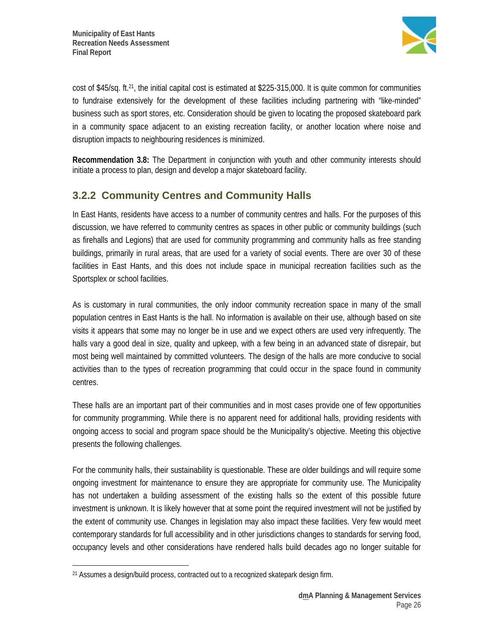

cost of \$45/sq. ft.21, the initial capital cost is estimated at \$225-315,000. It is quite common for communities to fundraise extensively for the development of these facilities including partnering with "like-minded" business such as sport stores, etc. Consideration should be given to locating the proposed skateboard park in a community space adjacent to an existing recreation facility, or another location where noise and disruption impacts to neighbouring residences is minimized.

**Recommendation 3.8:** The Department in conjunction with youth and other community interests should initiate a process to plan, design and develop a major skateboard facility.

# **3.2.2 Community Centres and Community Halls**

In East Hants, residents have access to a number of community centres and halls. For the purposes of this discussion, we have referred to community centres as spaces in other public or community buildings (such as firehalls and Legions) that are used for community programming and community halls as free standing buildings, primarily in rural areas, that are used for a variety of social events. There are over 30 of these facilities in East Hants, and this does not include space in municipal recreation facilities such as the Sportsplex or school facilities.

As is customary in rural communities, the only indoor community recreation space in many of the small population centres in East Hants is the hall. No information is available on their use, although based on site visits it appears that some may no longer be in use and we expect others are used very infrequently. The halls vary a good deal in size, quality and upkeep, with a few being in an advanced state of disrepair, but most being well maintained by committed volunteers. The design of the halls are more conducive to social activities than to the types of recreation programming that could occur in the space found in community centres.

These halls are an important part of their communities and in most cases provide one of few opportunities for community programming. While there is no apparent need for additional halls, providing residents with ongoing access to social and program space should be the Municipality's objective. Meeting this objective presents the following challenges.

For the community halls, their sustainability is questionable. These are older buildings and will require some ongoing investment for maintenance to ensure they are appropriate for community use. The Municipality has not undertaken a building assessment of the existing halls so the extent of this possible future investment is unknown. It is likely however that at some point the required investment will not be justified by the extent of community use. Changes in legislation may also impact these facilities. Very few would meet contemporary standards for full accessibility and in other jurisdictions changes to standards for serving food, occupancy levels and other considerations have rendered halls build decades ago no longer suitable for

 $\overline{a}$ 21 Assumes a design/build process, contracted out to a recognized skatepark design firm.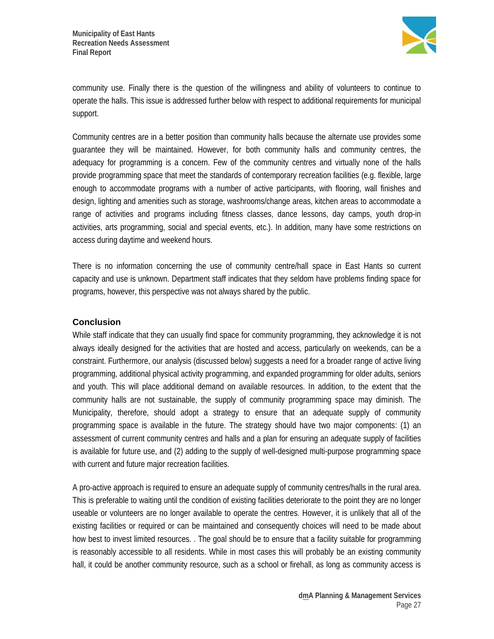

community use. Finally there is the question of the willingness and ability of volunteers to continue to operate the halls. This issue is addressed further below with respect to additional requirements for municipal support.

Community centres are in a better position than community halls because the alternate use provides some guarantee they will be maintained. However, for both community halls and community centres, the adequacy for programming is a concern. Few of the community centres and virtually none of the halls provide programming space that meet the standards of contemporary recreation facilities (e.g. flexible, large enough to accommodate programs with a number of active participants, with flooring, wall finishes and design, lighting and amenities such as storage, washrooms/change areas, kitchen areas to accommodate a range of activities and programs including fitness classes, dance lessons, day camps, youth drop-in activities, arts programming, social and special events, etc.). In addition, many have some restrictions on access during daytime and weekend hours.

There is no information concerning the use of community centre/hall space in East Hants so current capacity and use is unknown. Department staff indicates that they seldom have problems finding space for programs, however, this perspective was not always shared by the public.

#### **Conclusion**

While staff indicate that they can usually find space for community programming, they acknowledge it is not always ideally designed for the activities that are hosted and access, particularly on weekends, can be a constraint. Furthermore, our analysis (discussed below) suggests a need for a broader range of active living programming, additional physical activity programming, and expanded programming for older adults, seniors and youth. This will place additional demand on available resources. In addition, to the extent that the community halls are not sustainable, the supply of community programming space may diminish. The Municipality, therefore, should adopt a strategy to ensure that an adequate supply of community programming space is available in the future. The strategy should have two major components: (1) an assessment of current community centres and halls and a plan for ensuring an adequate supply of facilities is available for future use, and (2) adding to the supply of well-designed multi-purpose programming space with current and future major recreation facilities.

A pro-active approach is required to ensure an adequate supply of community centres/halls in the rural area. This is preferable to waiting until the condition of existing facilities deteriorate to the point they are no longer useable or volunteers are no longer available to operate the centres. However, it is unlikely that all of the existing facilities or required or can be maintained and consequently choices will need to be made about how best to invest limited resources. . The goal should be to ensure that a facility suitable for programming is reasonably accessible to all residents. While in most cases this will probably be an existing community hall, it could be another community resource, such as a school or firehall, as long as community access is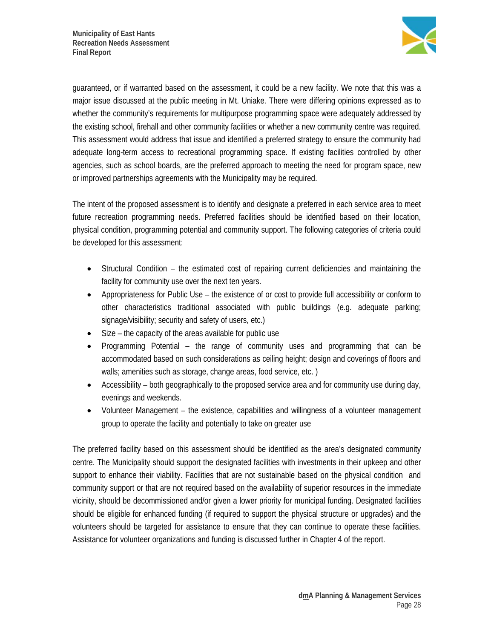

guaranteed, or if warranted based on the assessment, it could be a new facility. We note that this was a major issue discussed at the public meeting in Mt. Uniake. There were differing opinions expressed as to whether the community's requirements for multipurpose programming space were adequately addressed by the existing school, firehall and other community facilities or whether a new community centre was required. This assessment would address that issue and identified a preferred strategy to ensure the community had adequate long-term access to recreational programming space. If existing facilities controlled by other agencies, such as school boards, are the preferred approach to meeting the need for program space, new or improved partnerships agreements with the Municipality may be required.

The intent of the proposed assessment is to identify and designate a preferred in each service area to meet future recreation programming needs. Preferred facilities should be identified based on their location, physical condition, programming potential and community support. The following categories of criteria could be developed for this assessment:

- Structural Condition the estimated cost of repairing current deficiencies and maintaining the facility for community use over the next ten years.
- Appropriateness for Public Use the existence of or cost to provide full accessibility or conform to other characteristics traditional associated with public buildings (e.g. adequate parking; signage/visibility; security and safety of users, etc.)
- Size the capacity of the areas available for public use
- Programming Potential the range of community uses and programming that can be accommodated based on such considerations as ceiling height; design and coverings of floors and walls; amenities such as storage, change areas, food service, etc. )
- Accessibility both geographically to the proposed service area and for community use during day, evenings and weekends.
- Volunteer Management the existence, capabilities and willingness of a volunteer management group to operate the facility and potentially to take on greater use

The preferred facility based on this assessment should be identified as the area's designated community centre. The Municipality should support the designated facilities with investments in their upkeep and other support to enhance their viability. Facilities that are not sustainable based on the physical condition and community support or that are not required based on the availability of superior resources in the immediate vicinity, should be decommissioned and/or given a lower priority for municipal funding. Designated facilities should be eligible for enhanced funding (if required to support the physical structure or upgrades) and the volunteers should be targeted for assistance to ensure that they can continue to operate these facilities. Assistance for volunteer organizations and funding is discussed further in Chapter 4 of the report.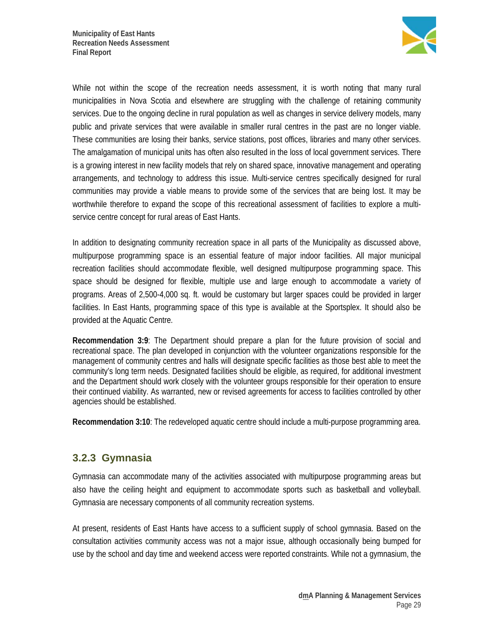

While not within the scope of the recreation needs assessment, it is worth noting that many rural municipalities in Nova Scotia and elsewhere are struggling with the challenge of retaining community services. Due to the ongoing decline in rural population as well as changes in service delivery models, many public and private services that were available in smaller rural centres in the past are no longer viable. These communities are losing their banks, service stations, post offices, libraries and many other services. The amalgamation of municipal units has often also resulted in the loss of local government services. There is a growing interest in new facility models that rely on shared space, innovative management and operating arrangements, and technology to address this issue. Multi-service centres specifically designed for rural communities may provide a viable means to provide some of the services that are being lost. It may be worthwhile therefore to expand the scope of this recreational assessment of facilities to explore a multiservice centre concept for rural areas of East Hants.

In addition to designating community recreation space in all parts of the Municipality as discussed above, multipurpose programming space is an essential feature of major indoor facilities. All major municipal recreation facilities should accommodate flexible, well designed multipurpose programming space. This space should be designed for flexible, multiple use and large enough to accommodate a variety of programs. Areas of 2,500-4,000 sq. ft. would be customary but larger spaces could be provided in larger facilities. In East Hants, programming space of this type is available at the Sportsplex. It should also be provided at the Aquatic Centre.

**Recommendation 3:9**: The Department should prepare a plan for the future provision of social and recreational space. The plan developed in conjunction with the volunteer organizations responsible for the management of community centres and halls will designate specific facilities as those best able to meet the community's long term needs. Designated facilities should be eligible, as required, for additional investment and the Department should work closely with the volunteer groups responsible for their operation to ensure their continued viability. As warranted, new or revised agreements for access to facilities controlled by other agencies should be established.

**Recommendation 3:10**: The redeveloped aquatic centre should include a multi-purpose programming area.

### **3.2.3 Gymnasia**

Gymnasia can accommodate many of the activities associated with multipurpose programming areas but also have the ceiling height and equipment to accommodate sports such as basketball and volleyball. Gymnasia are necessary components of all community recreation systems.

At present, residents of East Hants have access to a sufficient supply of school gymnasia. Based on the consultation activities community access was not a major issue, although occasionally being bumped for use by the school and day time and weekend access were reported constraints. While not a gymnasium, the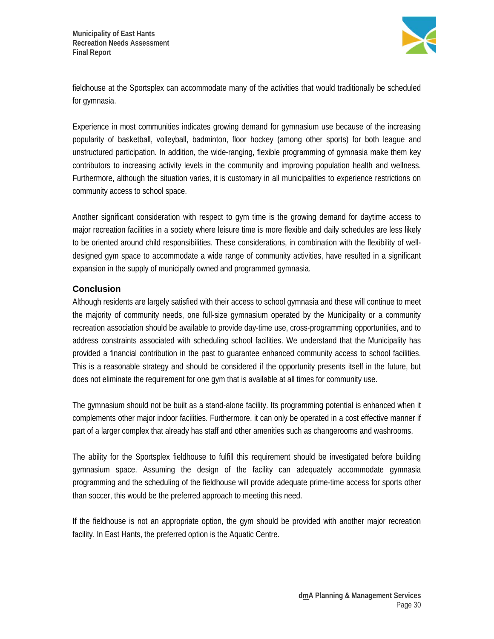

fieldhouse at the Sportsplex can accommodate many of the activities that would traditionally be scheduled for gymnasia.

Experience in most communities indicates growing demand for gymnasium use because of the increasing popularity of basketball, volleyball, badminton, floor hockey (among other sports) for both league and unstructured participation. In addition, the wide-ranging, flexible programming of gymnasia make them key contributors to increasing activity levels in the community and improving population health and wellness. Furthermore, although the situation varies, it is customary in all municipalities to experience restrictions on community access to school space.

Another significant consideration with respect to gym time is the growing demand for daytime access to major recreation facilities in a society where leisure time is more flexible and daily schedules are less likely to be oriented around child responsibilities. These considerations, in combination with the flexibility of welldesigned gym space to accommodate a wide range of community activities, have resulted in a significant expansion in the supply of municipally owned and programmed gymnasia.

### **Conclusion**

Although residents are largely satisfied with their access to school gymnasia and these will continue to meet the majority of community needs, one full-size gymnasium operated by the Municipality or a community recreation association should be available to provide day-time use, cross-programming opportunities, and to address constraints associated with scheduling school facilities. We understand that the Municipality has provided a financial contribution in the past to guarantee enhanced community access to school facilities. This is a reasonable strategy and should be considered if the opportunity presents itself in the future, but does not eliminate the requirement for one gym that is available at all times for community use.

The gymnasium should not be built as a stand-alone facility. Its programming potential is enhanced when it complements other major indoor facilities. Furthermore, it can only be operated in a cost effective manner if part of a larger complex that already has staff and other amenities such as changerooms and washrooms.

The ability for the Sportsplex fieldhouse to fulfill this requirement should be investigated before building gymnasium space. Assuming the design of the facility can adequately accommodate gymnasia programming and the scheduling of the fieldhouse will provide adequate prime-time access for sports other than soccer, this would be the preferred approach to meeting this need.

If the fieldhouse is not an appropriate option, the gym should be provided with another major recreation facility. In East Hants, the preferred option is the Aquatic Centre.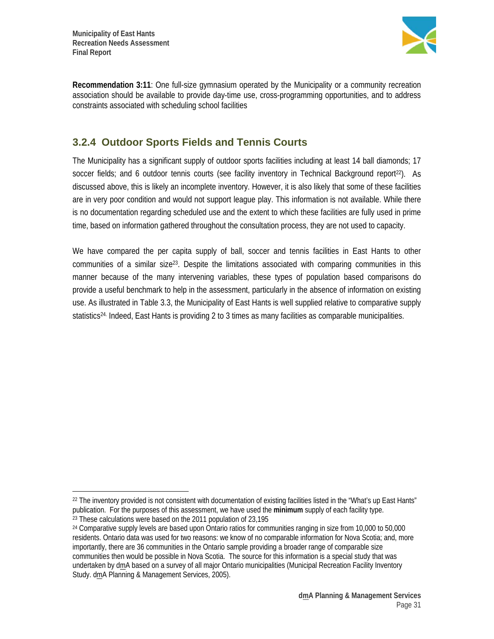$\overline{a}$ 



**Recommendation 3:11**: One full-size gymnasium operated by the Municipality or a community recreation association should be available to provide day-time use, cross-programming opportunities, and to address constraints associated with scheduling school facilities

## **3.2.4 Outdoor Sports Fields and Tennis Courts**

The Municipality has a significant supply of outdoor sports facilities including at least 14 ball diamonds; 17 soccer fields; and 6 outdoor tennis courts (see facility inventory in Technical Background report<sup>22</sup>). As discussed above, this is likely an incomplete inventory. However, it is also likely that some of these facilities are in very poor condition and would not support league play. This information is not available. While there is no documentation regarding scheduled use and the extent to which these facilities are fully used in prime time, based on information gathered throughout the consultation process, they are not used to capacity.

We have compared the per capita supply of ball, soccer and tennis facilities in East Hants to other communities of a similar size23. Despite the limitations associated with comparing communities in this manner because of the many intervening variables, these types of population based comparisons do provide a useful benchmark to help in the assessment, particularly in the absence of information on existing use. As illustrated in Table 3.3, the Municipality of East Hants is well supplied relative to comparative supply statistics<sup>24</sup>. Indeed, East Hants is providing 2 to 3 times as many facilities as comparable municipalities.

 $22$  The inventory provided is not consistent with documentation of existing facilities listed in the "What's up East Hants" publication. For the purposes of this assessment, we have used the **minimum** supply of each facility type. 23 These calculations were based on the 2011 population of 23,195

<sup>24</sup> Comparative supply levels are based upon Ontario ratios for communities ranging in size from 10,000 to 50,000 residents. Ontario data was used for two reasons: we know of no comparable information for Nova Scotia; and, more importantly, there are 36 communities in the Ontario sample providing a broader range of comparable size communities then would be possible in Nova Scotia. The source for this information is a special study that was undertaken by dmA based on a survey of all major Ontario municipalities (Municipal Recreation Facility Inventory Study. dmA Planning & Management Services, 2005).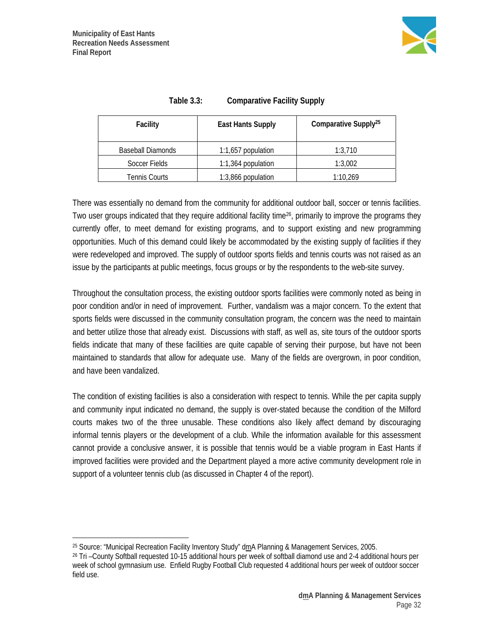

| <b>Facility</b>          | <b>East Hants Supply</b> | Comparative Supply <sup>25</sup> |
|--------------------------|--------------------------|----------------------------------|
| <b>Baseball Diamonds</b> | 1:1,657 population       | 1:3,710                          |
| Soccer Fields            | 1:1,364 population       | 1:3,002                          |
| <b>Tennis Courts</b>     | 1:3,866 population       | 1:10,269                         |

| Table $3.3:$ | <b>Comparative Facility Supply</b> |
|--------------|------------------------------------|
|--------------|------------------------------------|

There was essentially no demand from the community for additional outdoor ball, soccer or tennis facilities. Two user groups indicated that they require additional facility time<sup>26</sup>, primarily to improve the programs they currently offer, to meet demand for existing programs, and to support existing and new programming opportunities. Much of this demand could likely be accommodated by the existing supply of facilities if they were redeveloped and improved. The supply of outdoor sports fields and tennis courts was not raised as an issue by the participants at public meetings, focus groups or by the respondents to the web-site survey.

Throughout the consultation process, the existing outdoor sports facilities were commonly noted as being in poor condition and/or in need of improvement. Further, vandalism was a major concern. To the extent that sports fields were discussed in the community consultation program, the concern was the need to maintain and better utilize those that already exist. Discussions with staff, as well as, site tours of the outdoor sports fields indicate that many of these facilities are quite capable of serving their purpose, but have not been maintained to standards that allow for adequate use. Many of the fields are overgrown, in poor condition, and have been vandalized.

The condition of existing facilities is also a consideration with respect to tennis. While the per capita supply and community input indicated no demand, the supply is over-stated because the condition of the Milford courts makes two of the three unusable. These conditions also likely affect demand by discouraging informal tennis players or the development of a club. While the information available for this assessment cannot provide a conclusive answer, it is possible that tennis would be a viable program in East Hants if improved facilities were provided and the Department played a more active community development role in support of a volunteer tennis club (as discussed in Chapter 4 of the report).

 $\overline{a}$ 25 Source: "Municipal Recreation Facility Inventory Study" dmA Planning & Management Services, 2005.

<sup>26</sup> Tri –County Softball requested 10-15 additional hours per week of softball diamond use and 2-4 additional hours per week of school gymnasium use. Enfield Rugby Football Club requested 4 additional hours per week of outdoor soccer field use.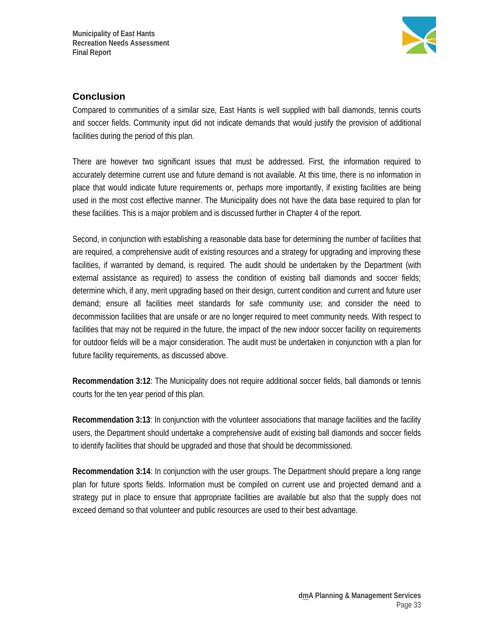

### **Conclusion**

Compared to communities of a similar size, East Hants is well supplied with ball diamonds, tennis courts and soccer fields. Community input did not indicate demands that would justify the provision of additional facilities during the period of this plan.

There are however two significant issues that must be addressed. First, the information required to accurately determine current use and future demand is not available. At this time, there is no information in place that would indicate future requirements or, perhaps more importantly, if existing facilities are being used in the most cost effective manner. The Municipality does not have the data base required to plan for these facilities. This is a major problem and is discussed further in Chapter 4 of the report.

Second, in conjunction with establishing a reasonable data base for determining the number of facilities that are required, a comprehensive audit of existing resources and a strategy for upgrading and improving these facilities, if warranted by demand, is required. The audit should be undertaken by the Department (with external assistance as required) to assess the condition of existing ball diamonds and soccer fields; determine which, if any, merit upgrading based on their design, current condition and current and future user demand; ensure all facilities meet standards for safe community use; and consider the need to decommission facilities that are unsafe or are no longer required to meet community needs. With respect to facilities that may not be required in the future, the impact of the new indoor soccer facility on requirements for outdoor fields will be a major consideration. The audit must be undertaken in conjunction with a plan for future facility requirements, as discussed above.

**Recommendation 3:12**: The Municipality does not require additional soccer fields, ball diamonds or tennis courts for the ten year period of this plan.

**Recommendation 3:13**: In conjunction with the volunteer associations that manage facilities and the facility users, the Department should undertake a comprehensive audit of existing ball diamonds and soccer fields to identify facilities that should be upgraded and those that should be decommissioned.

**Recommendation 3:14**: In conjunction with the user groups. The Department should prepare a long range plan for future sports fields. Information must be compiled on current use and projected demand and a strategy put in place to ensure that appropriate facilities are available but also that the supply does not exceed demand so that volunteer and public resources are used to their best advantage.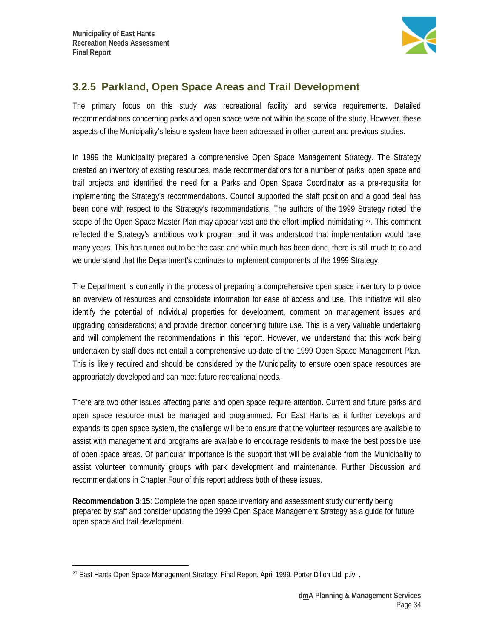

### **3.2.5 Parkland, Open Space Areas and Trail Development**

The primary focus on this study was recreational facility and service requirements. Detailed recommendations concerning parks and open space were not within the scope of the study. However, these aspects of the Municipality's leisure system have been addressed in other current and previous studies.

In 1999 the Municipality prepared a comprehensive Open Space Management Strategy. The Strategy created an inventory of existing resources, made recommendations for a number of parks, open space and trail projects and identified the need for a Parks and Open Space Coordinator as a pre-requisite for implementing the Strategy's recommendations. Council supported the staff position and a good deal has been done with respect to the Strategy's recommendations. The authors of the 1999 Strategy noted 'the scope of the Open Space Master Plan may appear vast and the effort implied intimidating"<sup>27</sup>. This comment reflected the Strategy's ambitious work program and it was understood that implementation would take many years. This has turned out to be the case and while much has been done, there is still much to do and we understand that the Department's continues to implement components of the 1999 Strategy.

The Department is currently in the process of preparing a comprehensive open space inventory to provide an overview of resources and consolidate information for ease of access and use. This initiative will also identify the potential of individual properties for development, comment on management issues and upgrading considerations; and provide direction concerning future use. This is a very valuable undertaking and will complement the recommendations in this report. However, we understand that this work being undertaken by staff does not entail a comprehensive up-date of the 1999 Open Space Management Plan. This is likely required and should be considered by the Municipality to ensure open space resources are appropriately developed and can meet future recreational needs.

There are two other issues affecting parks and open space require attention. Current and future parks and open space resource must be managed and programmed. For East Hants as it further develops and expands its open space system, the challenge will be to ensure that the volunteer resources are available to assist with management and programs are available to encourage residents to make the best possible use of open space areas. Of particular importance is the support that will be available from the Municipality to assist volunteer community groups with park development and maintenance. Further Discussion and recommendations in Chapter Four of this report address both of these issues.

**Recommendation 3:15**: Complete the open space inventory and assessment study currently being prepared by staff and consider updating the 1999 Open Space Management Strategy as a guide for future open space and trail development.

 $\overline{a}$ <sup>27</sup> East Hants Open Space Management Strategy. Final Report. April 1999. Porter Dillon Ltd. p.iv..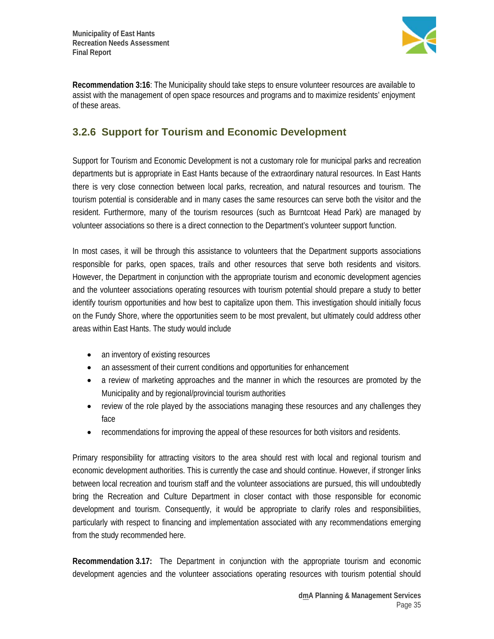

**Recommendation 3:16**: The Municipality should take steps to ensure volunteer resources are available to assist with the management of open space resources and programs and to maximize residents' enjoyment of these areas.

### **3.2.6 Support for Tourism and Economic Development**

Support for Tourism and Economic Development is not a customary role for municipal parks and recreation departments but is appropriate in East Hants because of the extraordinary natural resources. In East Hants there is very close connection between local parks, recreation, and natural resources and tourism. The tourism potential is considerable and in many cases the same resources can serve both the visitor and the resident. Furthermore, many of the tourism resources (such as Burntcoat Head Park) are managed by volunteer associations so there is a direct connection to the Department's volunteer support function.

In most cases, it will be through this assistance to volunteers that the Department supports associations responsible for parks, open spaces, trails and other resources that serve both residents and visitors. However, the Department in conjunction with the appropriate tourism and economic development agencies and the volunteer associations operating resources with tourism potential should prepare a study to better identify tourism opportunities and how best to capitalize upon them. This investigation should initially focus on the Fundy Shore, where the opportunities seem to be most prevalent, but ultimately could address other areas within East Hants. The study would include

- an inventory of existing resources
- an assessment of their current conditions and opportunities for enhancement
- a review of marketing approaches and the manner in which the resources are promoted by the Municipality and by regional/provincial tourism authorities
- review of the role played by the associations managing these resources and any challenges they face
- recommendations for improving the appeal of these resources for both visitors and residents.

Primary responsibility for attracting visitors to the area should rest with local and regional tourism and economic development authorities. This is currently the case and should continue. However, if stronger links between local recreation and tourism staff and the volunteer associations are pursued, this will undoubtedly bring the Recreation and Culture Department in closer contact with those responsible for economic development and tourism. Consequently, it would be appropriate to clarify roles and responsibilities, particularly with respect to financing and implementation associated with any recommendations emerging from the study recommended here.

**Recommendation 3.17:** The Department in conjunction with the appropriate tourism and economic development agencies and the volunteer associations operating resources with tourism potential should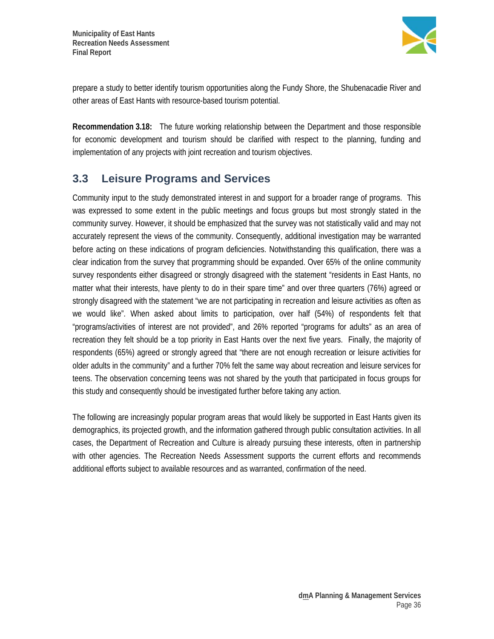

prepare a study to better identify tourism opportunities along the Fundy Shore, the Shubenacadie River and other areas of East Hants with resource-based tourism potential.

**Recommendation 3.18:** The future working relationship between the Department and those responsible for economic development and tourism should be clarified with respect to the planning, funding and implementation of any projects with joint recreation and tourism objectives.

# **3.3 Leisure Programs and Services**

Community input to the study demonstrated interest in and support for a broader range of programs. This was expressed to some extent in the public meetings and focus groups but most strongly stated in the community survey. However, it should be emphasized that the survey was not statistically valid and may not accurately represent the views of the community. Consequently, additional investigation may be warranted before acting on these indications of program deficiencies. Notwithstanding this qualification, there was a clear indication from the survey that programming should be expanded. Over 65% of the online community survey respondents either disagreed or strongly disagreed with the statement "residents in East Hants, no matter what their interests, have plenty to do in their spare time" and over three quarters (76%) agreed or strongly disagreed with the statement "we are not participating in recreation and leisure activities as often as we would like". When asked about limits to participation, over half (54%) of respondents felt that "programs/activities of interest are not provided", and 26% reported "programs for adults" as an area of recreation they felt should be a top priority in East Hants over the next five years. Finally, the majority of respondents (65%) agreed or strongly agreed that "there are not enough recreation or leisure activities for older adults in the community" and a further 70% felt the same way about recreation and leisure services for teens. The observation concerning teens was not shared by the youth that participated in focus groups for this study and consequently should be investigated further before taking any action.

The following are increasingly popular program areas that would likely be supported in East Hants given its demographics, its projected growth, and the information gathered through public consultation activities. In all cases, the Department of Recreation and Culture is already pursuing these interests, often in partnership with other agencies. The Recreation Needs Assessment supports the current efforts and recommends additional efforts subject to available resources and as warranted, confirmation of the need.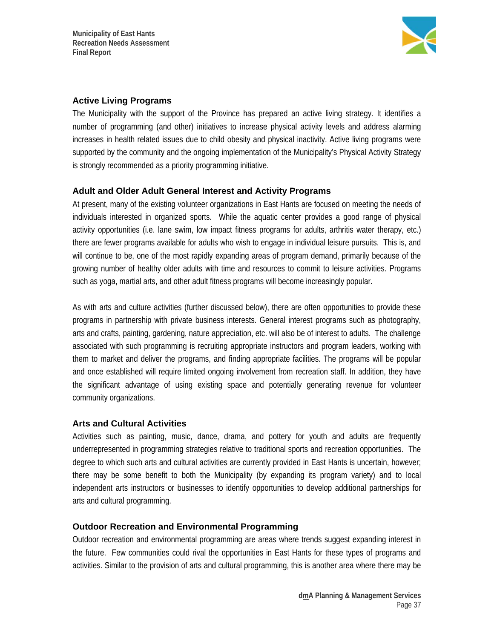

#### **Active Living Programs**

The Municipality with the support of the Province has prepared an active living strategy. It identifies a number of programming (and other) initiatives to increase physical activity levels and address alarming increases in health related issues due to child obesity and physical inactivity. Active living programs were supported by the community and the ongoing implementation of the Municipality's Physical Activity Strategy is strongly recommended as a priority programming initiative.

#### **Adult and Older Adult General Interest and Activity Programs**

At present, many of the existing volunteer organizations in East Hants are focused on meeting the needs of individuals interested in organized sports. While the aquatic center provides a good range of physical activity opportunities (i.e. lane swim, low impact fitness programs for adults, arthritis water therapy, etc.) there are fewer programs available for adults who wish to engage in individual leisure pursuits. This is, and will continue to be, one of the most rapidly expanding areas of program demand, primarily because of the growing number of healthy older adults with time and resources to commit to leisure activities. Programs such as yoga, martial arts, and other adult fitness programs will become increasingly popular.

As with arts and culture activities (further discussed below), there are often opportunities to provide these programs in partnership with private business interests. General interest programs such as photography, arts and crafts, painting, gardening, nature appreciation, etc. will also be of interest to adults. The challenge associated with such programming is recruiting appropriate instructors and program leaders, working with them to market and deliver the programs, and finding appropriate facilities. The programs will be popular and once established will require limited ongoing involvement from recreation staff. In addition, they have the significant advantage of using existing space and potentially generating revenue for volunteer community organizations.

### **Arts and Cultural Activities**

Activities such as painting, music, dance, drama, and pottery for youth and adults are frequently underrepresented in programming strategies relative to traditional sports and recreation opportunities. The degree to which such arts and cultural activities are currently provided in East Hants is uncertain, however; there may be some benefit to both the Municipality (by expanding its program variety) and to local independent arts instructors or businesses to identify opportunities to develop additional partnerships for arts and cultural programming.

#### **Outdoor Recreation and Environmental Programming**

Outdoor recreation and environmental programming are areas where trends suggest expanding interest in the future. Few communities could rival the opportunities in East Hants for these types of programs and activities. Similar to the provision of arts and cultural programming, this is another area where there may be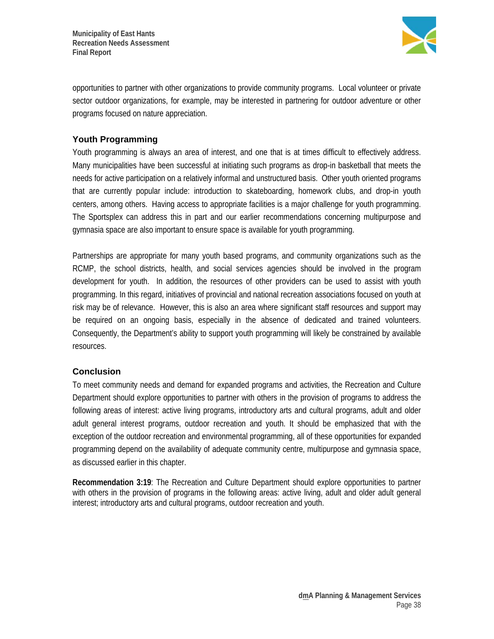

opportunities to partner with other organizations to provide community programs. Local volunteer or private sector outdoor organizations, for example, may be interested in partnering for outdoor adventure or other programs focused on nature appreciation.

### **Youth Programming**

Youth programming is always an area of interest, and one that is at times difficult to effectively address. Many municipalities have been successful at initiating such programs as drop-in basketball that meets the needs for active participation on a relatively informal and unstructured basis. Other youth oriented programs that are currently popular include: introduction to skateboarding, homework clubs, and drop-in youth centers, among others. Having access to appropriate facilities is a major challenge for youth programming. The Sportsplex can address this in part and our earlier recommendations concerning multipurpose and gymnasia space are also important to ensure space is available for youth programming.

Partnerships are appropriate for many youth based programs, and community organizations such as the RCMP, the school districts, health, and social services agencies should be involved in the program development for youth. In addition, the resources of other providers can be used to assist with youth programming. In this regard, initiatives of provincial and national recreation associations focused on youth at risk may be of relevance. However, this is also an area where significant staff resources and support may be required on an ongoing basis, especially in the absence of dedicated and trained volunteers. Consequently, the Department's ability to support youth programming will likely be constrained by available resources.

### **Conclusion**

To meet community needs and demand for expanded programs and activities, the Recreation and Culture Department should explore opportunities to partner with others in the provision of programs to address the following areas of interest: active living programs, introductory arts and cultural programs, adult and older adult general interest programs, outdoor recreation and youth. It should be emphasized that with the exception of the outdoor recreation and environmental programming, all of these opportunities for expanded programming depend on the availability of adequate community centre, multipurpose and gymnasia space, as discussed earlier in this chapter.

**Recommendation 3:19**: The Recreation and Culture Department should explore opportunities to partner with others in the provision of programs in the following areas: active living, adult and older adult general interest; introductory arts and cultural programs, outdoor recreation and youth.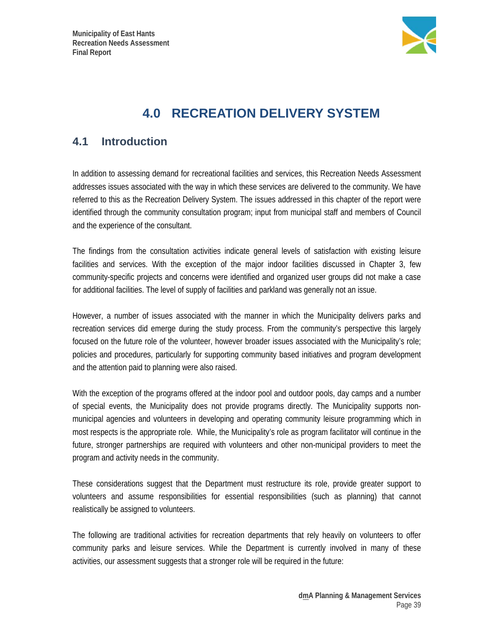

# **4.0 RECREATION DELIVERY SYSTEM**

# **4.1 Introduction**

In addition to assessing demand for recreational facilities and services, this Recreation Needs Assessment addresses issues associated with the way in which these services are delivered to the community. We have referred to this as the Recreation Delivery System. The issues addressed in this chapter of the report were identified through the community consultation program; input from municipal staff and members of Council and the experience of the consultant.

The findings from the consultation activities indicate general levels of satisfaction with existing leisure facilities and services. With the exception of the major indoor facilities discussed in Chapter 3, few community-specific projects and concerns were identified and organized user groups did not make a case for additional facilities. The level of supply of facilities and parkland was generally not an issue.

However, a number of issues associated with the manner in which the Municipality delivers parks and recreation services did emerge during the study process. From the community's perspective this largely focused on the future role of the volunteer, however broader issues associated with the Municipality's role; policies and procedures, particularly for supporting community based initiatives and program development and the attention paid to planning were also raised.

With the exception of the programs offered at the indoor pool and outdoor pools, day camps and a number of special events, the Municipality does not provide programs directly. The Municipality supports nonmunicipal agencies and volunteers in developing and operating community leisure programming which in most respects is the appropriate role. While, the Municipality's role as program facilitator will continue in the future, stronger partnerships are required with volunteers and other non-municipal providers to meet the program and activity needs in the community.

These considerations suggest that the Department must restructure its role, provide greater support to volunteers and assume responsibilities for essential responsibilities (such as planning) that cannot realistically be assigned to volunteers.

The following are traditional activities for recreation departments that rely heavily on volunteers to offer community parks and leisure services. While the Department is currently involved in many of these activities, our assessment suggests that a stronger role will be required in the future: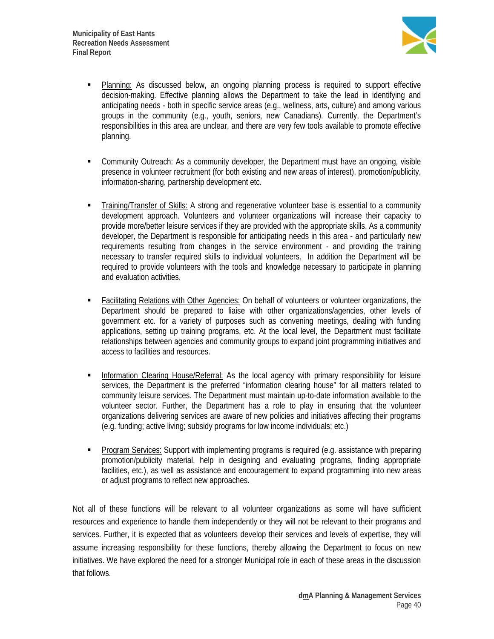

- Planning: As discussed below, an ongoing planning process is required to support effective decision-making. Effective planning allows the Department to take the lead in identifying and anticipating needs - both in specific service areas (e.g., wellness, arts, culture) and among various groups in the community (e.g., youth, seniors, new Canadians). Currently, the Department's responsibilities in this area are unclear, and there are very few tools available to promote effective planning.
- Community Outreach: As a community developer, the Department must have an ongoing, visible presence in volunteer recruitment (for both existing and new areas of interest), promotion/publicity, information-sharing, partnership development etc.
- Training/Transfer of Skills: A strong and regenerative volunteer base is essential to a community development approach. Volunteers and volunteer organizations will increase their capacity to provide more/better leisure services if they are provided with the appropriate skills. As a community developer, the Department is responsible for anticipating needs in this area - and particularly new requirements resulting from changes in the service environment - and providing the training necessary to transfer required skills to individual volunteers. In addition the Department will be required to provide volunteers with the tools and knowledge necessary to participate in planning and evaluation activities.
- Facilitating Relations with Other Agencies: On behalf of volunteers or volunteer organizations, the Department should be prepared to liaise with other organizations/agencies, other levels of government etc. for a variety of purposes such as convening meetings, dealing with funding applications, setting up training programs, etc. At the local level, the Department must facilitate relationships between agencies and community groups to expand joint programming initiatives and access to facilities and resources.
- **Information Clearing House/Referral:** As the local agency with primary responsibility for leisure services, the Department is the preferred "information clearing house" for all matters related to community leisure services. The Department must maintain up-to-date information available to the volunteer sector. Further, the Department has a role to play in ensuring that the volunteer organizations delivering services are aware of new policies and initiatives affecting their programs (e.g. funding; active living; subsidy programs for low income individuals; etc.)
- Program Services: Support with implementing programs is required (e.g. assistance with preparing promotion/publicity material, help in designing and evaluating programs, finding appropriate facilities, etc.), as well as assistance and encouragement to expand programming into new areas or adjust programs to reflect new approaches.

Not all of these functions will be relevant to all volunteer organizations as some will have sufficient resources and experience to handle them independently or they will not be relevant to their programs and services. Further, it is expected that as volunteers develop their services and levels of expertise, they will assume increasing responsibility for these functions, thereby allowing the Department to focus on new initiatives. We have explored the need for a stronger Municipal role in each of these areas in the discussion that follows.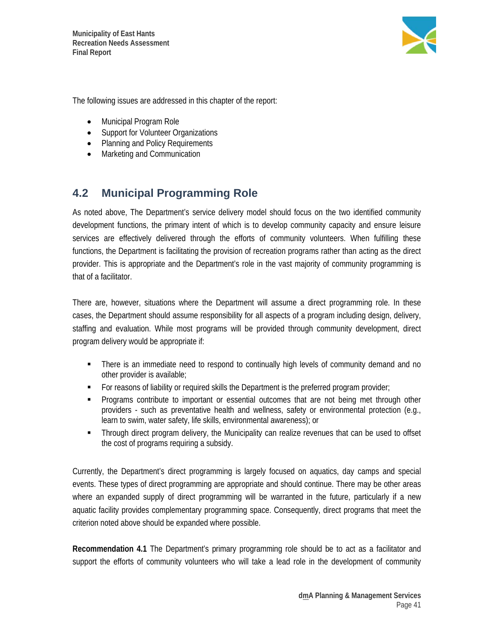

The following issues are addressed in this chapter of the report:

- Municipal Program Role
- Support for Volunteer Organizations
- Planning and Policy Requirements
- Marketing and Communication

# **4.2 Municipal Programming Role**

As noted above, The Department's service delivery model should focus on the two identified community development functions, the primary intent of which is to develop community capacity and ensure leisure services are effectively delivered through the efforts of community volunteers. When fulfilling these functions, the Department is facilitating the provision of recreation programs rather than acting as the direct provider. This is appropriate and the Department's role in the vast majority of community programming is that of a facilitator.

There are, however, situations where the Department will assume a direct programming role. In these cases, the Department should assume responsibility for all aspects of a program including design, delivery, staffing and evaluation. While most programs will be provided through community development, direct program delivery would be appropriate if:

- There is an immediate need to respond to continually high levels of community demand and no other provider is available;
- For reasons of liability or required skills the Department is the preferred program provider;
- Programs contribute to important or essential outcomes that are not being met through other providers - such as preventative health and wellness, safety or environmental protection (e.g., learn to swim, water safety, life skills, environmental awareness); or
- Through direct program delivery, the Municipality can realize revenues that can be used to offset the cost of programs requiring a subsidy.

Currently, the Department's direct programming is largely focused on aquatics, day camps and special events. These types of direct programming are appropriate and should continue. There may be other areas where an expanded supply of direct programming will be warranted in the future, particularly if a new aquatic facility provides complementary programming space. Consequently, direct programs that meet the criterion noted above should be expanded where possible.

**Recommendation 4.1** The Department's primary programming role should be to act as a facilitator and support the efforts of community volunteers who will take a lead role in the development of community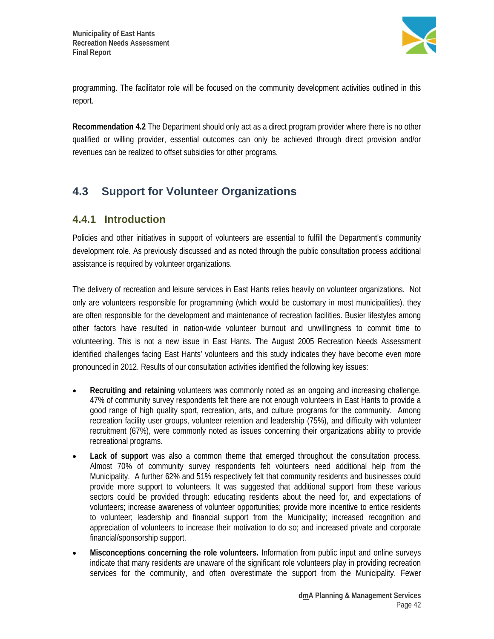

programming. The facilitator role will be focused on the community development activities outlined in this report.

**Recommendation 4.2** The Department should only act as a direct program provider where there is no other qualified or willing provider, essential outcomes can only be achieved through direct provision and/or revenues can be realized to offset subsidies for other programs.

# **4.3 Support for Volunteer Organizations**

### **4.4.1 Introduction**

Policies and other initiatives in support of volunteers are essential to fulfill the Department's community development role. As previously discussed and as noted through the public consultation process additional assistance is required by volunteer organizations.

The delivery of recreation and leisure services in East Hants relies heavily on volunteer organizations. Not only are volunteers responsible for programming (which would be customary in most municipalities), they are often responsible for the development and maintenance of recreation facilities. Busier lifestyles among other factors have resulted in nation-wide volunteer burnout and unwillingness to commit time to volunteering. This is not a new issue in East Hants. The August 2005 Recreation Needs Assessment identified challenges facing East Hants' volunteers and this study indicates they have become even more pronounced in 2012. Results of our consultation activities identified the following key issues:

- **Recruiting and retaining** volunteers was commonly noted as an ongoing and increasing challenge. 47% of community survey respondents felt there are not enough volunteers in East Hants to provide a good range of high quality sport, recreation, arts, and culture programs for the community. Among recreation facility user groups, volunteer retention and leadership (75%), and difficulty with volunteer recruitment (67%), were commonly noted as issues concerning their organizations ability to provide recreational programs.
- **Lack of support** was also a common theme that emerged throughout the consultation process. Almost 70% of community survey respondents felt volunteers need additional help from the Municipality. A further 62% and 51% respectively felt that community residents and businesses could provide more support to volunteers. It was suggested that additional support from these various sectors could be provided through: educating residents about the need for, and expectations of volunteers; increase awareness of volunteer opportunities; provide more incentive to entice residents to volunteer; leadership and financial support from the Municipality; increased recognition and appreciation of volunteers to increase their motivation to do so; and increased private and corporate financial/sponsorship support.
- **Misconceptions concerning the role volunteers.** Information from public input and online surveys indicate that many residents are unaware of the significant role volunteers play in providing recreation services for the community, and often overestimate the support from the Municipality. Fewer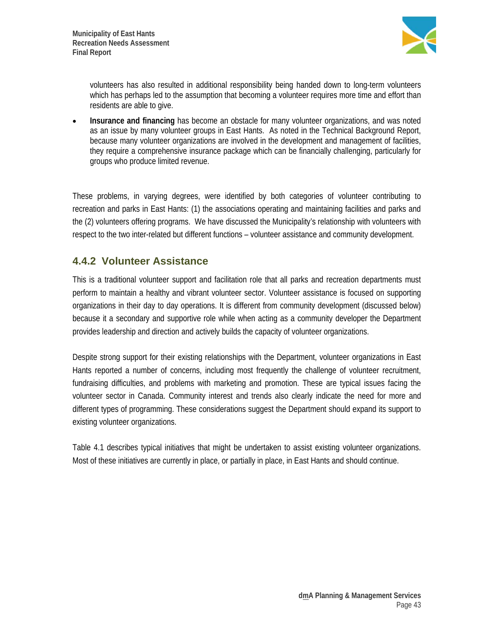

volunteers has also resulted in additional responsibility being handed down to long-term volunteers which has perhaps led to the assumption that becoming a volunteer requires more time and effort than residents are able to give.

**Insurance and financing** has become an obstacle for many volunteer organizations, and was noted as an issue by many volunteer groups in East Hants. As noted in the Technical Background Report, because many volunteer organizations are involved in the development and management of facilities, they require a comprehensive insurance package which can be financially challenging, particularly for groups who produce limited revenue.

These problems, in varying degrees, were identified by both categories of volunteer contributing to recreation and parks in East Hants: (1) the associations operating and maintaining facilities and parks and the (2) volunteers offering programs. We have discussed the Municipality's relationship with volunteers with respect to the two inter-related but different functions – volunteer assistance and community development.

### **4.4.2 Volunteer Assistance**

This is a traditional volunteer support and facilitation role that all parks and recreation departments must perform to maintain a healthy and vibrant volunteer sector. Volunteer assistance is focused on supporting organizations in their day to day operations. It is different from community development (discussed below) because it a secondary and supportive role while when acting as a community developer the Department provides leadership and direction and actively builds the capacity of volunteer organizations.

Despite strong support for their existing relationships with the Department, volunteer organizations in East Hants reported a number of concerns, including most frequently the challenge of volunteer recruitment, fundraising difficulties, and problems with marketing and promotion. These are typical issues facing the volunteer sector in Canada. Community interest and trends also clearly indicate the need for more and different types of programming. These considerations suggest the Department should expand its support to existing volunteer organizations.

Table 4.1 describes typical initiatives that might be undertaken to assist existing volunteer organizations. Most of these initiatives are currently in place, or partially in place, in East Hants and should continue.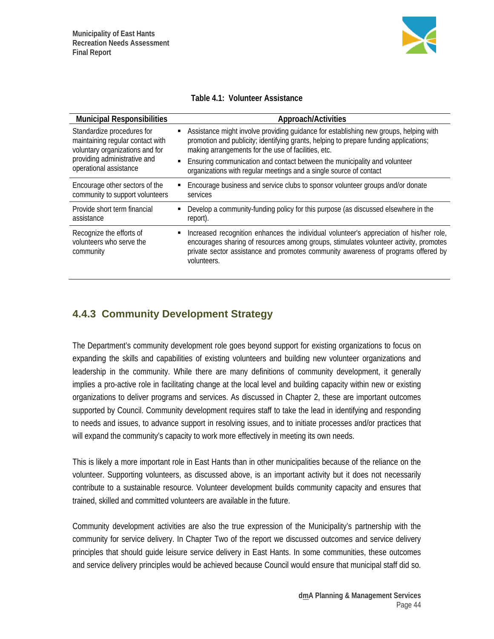

#### **Table 4.1: Volunteer Assistance**

| <b>Municipal Responsibilities</b>                                                                                                                                                  | Approach/Activities                                                                                                                                                                                                                                                                                                                                                                      |
|------------------------------------------------------------------------------------------------------------------------------------------------------------------------------------|------------------------------------------------------------------------------------------------------------------------------------------------------------------------------------------------------------------------------------------------------------------------------------------------------------------------------------------------------------------------------------------|
| Standardize procedures for<br>٠<br>maintaining regular contact with<br>voluntary organizations and for<br>providing administrative and<br>$\blacksquare$<br>operational assistance | Assistance might involve providing guidance for establishing new groups, helping with<br>promotion and publicity; identifying grants, helping to prepare funding applications;<br>making arrangements for the use of facilities, etc.<br>Ensuring communication and contact between the municipality and volunteer<br>organizations with regular meetings and a single source of contact |
| Encourage other sectors of the<br>$\blacksquare$<br>community to support volunteers                                                                                                | Encourage business and service clubs to sponsor volunteer groups and/or donate<br>services                                                                                                                                                                                                                                                                                               |
| Provide short term financial<br>٠<br>assistance                                                                                                                                    | Develop a community-funding policy for this purpose (as discussed elsewhere in the<br>report).                                                                                                                                                                                                                                                                                           |
| Recognize the efforts of<br>٠<br>volunteers who serve the<br>community                                                                                                             | Increased recognition enhances the individual volunteer's appreciation of his/her role,<br>encourages sharing of resources among groups, stimulates volunteer activity, promotes<br>private sector assistance and promotes community awareness of programs offered by<br>volunteers.                                                                                                     |

### **4.4.3 Community Development Strategy**

The Department's community development role goes beyond support for existing organizations to focus on expanding the skills and capabilities of existing volunteers and building new volunteer organizations and leadership in the community. While there are many definitions of community development, it generally implies a pro-active role in facilitating change at the local level and building capacity within new or existing organizations to deliver programs and services. As discussed in Chapter 2, these are important outcomes supported by Council. Community development requires staff to take the lead in identifying and responding to needs and issues, to advance support in resolving issues, and to initiate processes and/or practices that will expand the community's capacity to work more effectively in meeting its own needs.

This is likely a more important role in East Hants than in other municipalities because of the reliance on the volunteer. Supporting volunteers, as discussed above, is an important activity but it does not necessarily contribute to a sustainable resource. Volunteer development builds community capacity and ensures that trained, skilled and committed volunteers are available in the future.

Community development activities are also the true expression of the Municipality's partnership with the community for service delivery. In Chapter Two of the report we discussed outcomes and service delivery principles that should guide leisure service delivery in East Hants. In some communities, these outcomes and service delivery principles would be achieved because Council would ensure that municipal staff did so.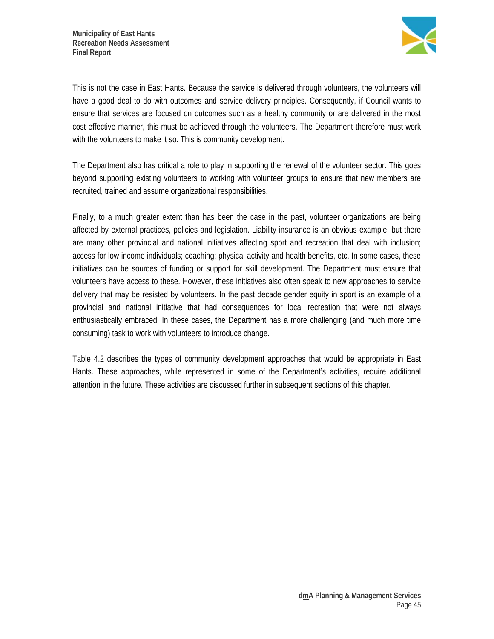

This is not the case in East Hants. Because the service is delivered through volunteers, the volunteers will have a good deal to do with outcomes and service delivery principles. Consequently, if Council wants to ensure that services are focused on outcomes such as a healthy community or are delivered in the most cost effective manner, this must be achieved through the volunteers. The Department therefore must work with the volunteers to make it so. This is community development.

The Department also has critical a role to play in supporting the renewal of the volunteer sector. This goes beyond supporting existing volunteers to working with volunteer groups to ensure that new members are recruited, trained and assume organizational responsibilities.

Finally, to a much greater extent than has been the case in the past, volunteer organizations are being affected by external practices, policies and legislation. Liability insurance is an obvious example, but there are many other provincial and national initiatives affecting sport and recreation that deal with inclusion; access for low income individuals; coaching; physical activity and health benefits, etc. In some cases, these initiatives can be sources of funding or support for skill development. The Department must ensure that volunteers have access to these. However, these initiatives also often speak to new approaches to service delivery that may be resisted by volunteers. In the past decade gender equity in sport is an example of a provincial and national initiative that had consequences for local recreation that were not always enthusiastically embraced. In these cases, the Department has a more challenging (and much more time consuming) task to work with volunteers to introduce change.

Table 4.2 describes the types of community development approaches that would be appropriate in East Hants. These approaches, while represented in some of the Department's activities, require additional attention in the future. These activities are discussed further in subsequent sections of this chapter.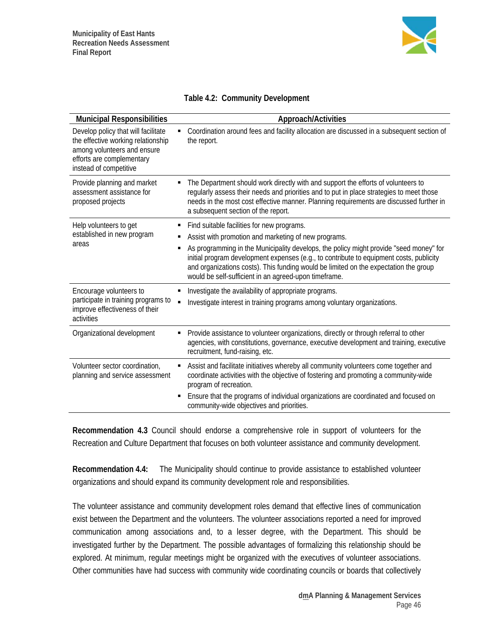

| <b>Municipal Responsibilities</b>                                                                                                                               | Approach/Activities                                                                                                                                                                                                                                                                                                                     |
|-----------------------------------------------------------------------------------------------------------------------------------------------------------------|-----------------------------------------------------------------------------------------------------------------------------------------------------------------------------------------------------------------------------------------------------------------------------------------------------------------------------------------|
| Develop policy that will facilitate<br>the effective working relationship<br>among volunteers and ensure<br>efforts are complementary<br>instead of competitive | Coordination around fees and facility allocation are discussed in a subsequent section of<br>the report.                                                                                                                                                                                                                                |
| Provide planning and market<br>assessment assistance for<br>proposed projects                                                                                   | The Department should work directly with and support the efforts of volunteers to<br>Ξ<br>regularly assess their needs and priorities and to put in place strategies to meet those<br>needs in the most cost effective manner. Planning requirements are discussed further in<br>a subsequent section of the report.                    |
| Help volunteers to get                                                                                                                                          | Find suitable facilities for new programs.<br>Ξ                                                                                                                                                                                                                                                                                         |
| established in new program                                                                                                                                      | Assist with promotion and marketing of new programs.<br>Е                                                                                                                                                                                                                                                                               |
| areas                                                                                                                                                           | As programming in the Municipality develops, the policy might provide "seed money" for<br>Е<br>initial program development expenses (e.g., to contribute to equipment costs, publicity<br>and organizations costs). This funding would be limited on the expectation the group<br>would be self-sufficient in an agreed-upon timeframe. |
| Encourage volunteers to                                                                                                                                         | Investigate the availability of appropriate programs.<br>Е                                                                                                                                                                                                                                                                              |
| participate in training programs to<br>improve effectiveness of their<br>activities                                                                             | Investigate interest in training programs among voluntary organizations.                                                                                                                                                                                                                                                                |
| Organizational development                                                                                                                                      | Provide assistance to volunteer organizations, directly or through referral to other<br>Ξ<br>agencies, with constitutions, governance, executive development and training, executive<br>recruitment, fund-raising, etc.                                                                                                                 |
| Volunteer sector coordination,<br>planning and service assessment                                                                                               | Assist and facilitate initiatives whereby all community volunteers come together and<br>Ξ<br>coordinate activities with the objective of fostering and promoting a community-wide<br>program of recreation.                                                                                                                             |
|                                                                                                                                                                 | Ensure that the programs of individual organizations are coordinated and focused on<br>Е<br>community-wide objectives and priorities.                                                                                                                                                                                                   |

**Recommendation 4.3** Council should endorse a comprehensive role in support of volunteers for the Recreation and Culture Department that focuses on both volunteer assistance and community development.

**Recommendation 4.4:** The Municipality should continue to provide assistance to established volunteer organizations and should expand its community development role and responsibilities.

The volunteer assistance and community development roles demand that effective lines of communication exist between the Department and the volunteers. The volunteer associations reported a need for improved communication among associations and, to a lesser degree, with the Department. This should be investigated further by the Department. The possible advantages of formalizing this relationship should be explored. At minimum, regular meetings might be organized with the executives of volunteer associations. Other communities have had success with community wide coordinating councils or boards that collectively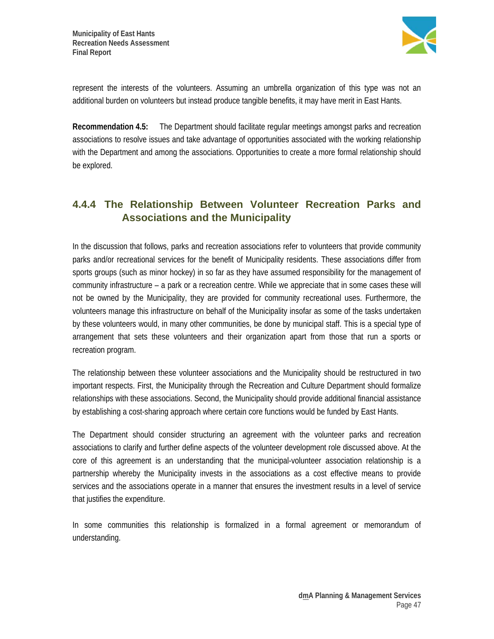

represent the interests of the volunteers. Assuming an umbrella organization of this type was not an additional burden on volunteers but instead produce tangible benefits, it may have merit in East Hants.

**Recommendation 4.5:** The Department should facilitate regular meetings amongst parks and recreation associations to resolve issues and take advantage of opportunities associated with the working relationship with the Department and among the associations. Opportunities to create a more formal relationship should be explored.

### **4.4.4 The Relationship Between Volunteer Recreation Parks and Associations and the Municipality**

In the discussion that follows, parks and recreation associations refer to volunteers that provide community parks and/or recreational services for the benefit of Municipality residents. These associations differ from sports groups (such as minor hockey) in so far as they have assumed responsibility for the management of community infrastructure – a park or a recreation centre. While we appreciate that in some cases these will not be owned by the Municipality, they are provided for community recreational uses. Furthermore, the volunteers manage this infrastructure on behalf of the Municipality insofar as some of the tasks undertaken by these volunteers would, in many other communities, be done by municipal staff. This is a special type of arrangement that sets these volunteers and their organization apart from those that run a sports or recreation program.

The relationship between these volunteer associations and the Municipality should be restructured in two important respects. First, the Municipality through the Recreation and Culture Department should formalize relationships with these associations. Second, the Municipality should provide additional financial assistance by establishing a cost-sharing approach where certain core functions would be funded by East Hants.

The Department should consider structuring an agreement with the volunteer parks and recreation associations to clarify and further define aspects of the volunteer development role discussed above. At the core of this agreement is an understanding that the municipal-volunteer association relationship is a partnership whereby the Municipality invests in the associations as a cost effective means to provide services and the associations operate in a manner that ensures the investment results in a level of service that justifies the expenditure.

In some communities this relationship is formalized in a formal agreement or memorandum of understanding.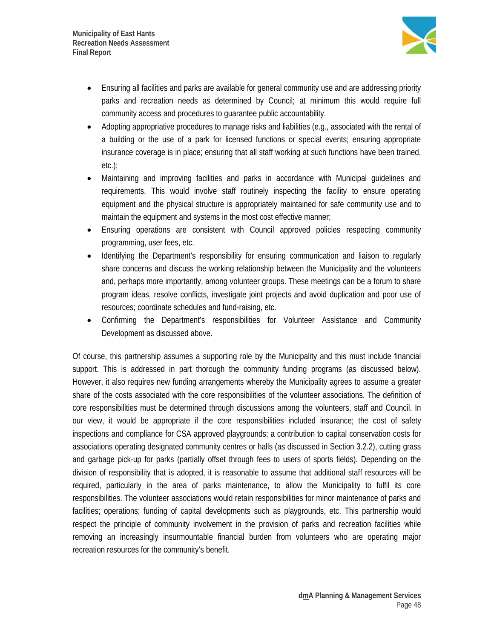

- Ensuring all facilities and parks are available for general community use and are addressing priority parks and recreation needs as determined by Council; at minimum this would require full community access and procedures to guarantee public accountability.
- Adopting appropriative procedures to manage risks and liabilities (e.g., associated with the rental of a building or the use of a park for licensed functions or special events; ensuring appropriate insurance coverage is in place; ensuring that all staff working at such functions have been trained, etc.);
- Maintaining and improving facilities and parks in accordance with Municipal guidelines and requirements. This would involve staff routinely inspecting the facility to ensure operating equipment and the physical structure is appropriately maintained for safe community use and to maintain the equipment and systems in the most cost effective manner;
- Ensuring operations are consistent with Council approved policies respecting community programming, user fees, etc.
- Identifying the Department's responsibility for ensuring communication and liaison to regularly share concerns and discuss the working relationship between the Municipality and the volunteers and, perhaps more importantly, among volunteer groups. These meetings can be a forum to share program ideas, resolve conflicts, investigate joint projects and avoid duplication and poor use of resources; coordinate schedules and fund-raising, etc.
- Confirming the Department's responsibilities for Volunteer Assistance and Community Development as discussed above.

Of course, this partnership assumes a supporting role by the Municipality and this must include financial support. This is addressed in part thorough the community funding programs (as discussed below). However, it also requires new funding arrangements whereby the Municipality agrees to assume a greater share of the costs associated with the core responsibilities of the volunteer associations. The definition of core responsibilities must be determined through discussions among the volunteers, staff and Council. In our view, it would be appropriate if the core responsibilities included insurance; the cost of safety inspections and compliance for CSA approved playgrounds; a contribution to capital conservation costs for associations operating designated community centres or halls (as discussed in Section 3.2.2), cutting grass and garbage pick-up for parks (partially offset through fees to users of sports fields). Depending on the division of responsibility that is adopted, it is reasonable to assume that additional staff resources will be required, particularly in the area of parks maintenance, to allow the Municipality to fulfil its core responsibilities. The volunteer associations would retain responsibilities for minor maintenance of parks and facilities; operations; funding of capital developments such as playgrounds, etc. This partnership would respect the principle of community involvement in the provision of parks and recreation facilities while removing an increasingly insurmountable financial burden from volunteers who are operating major recreation resources for the community's benefit.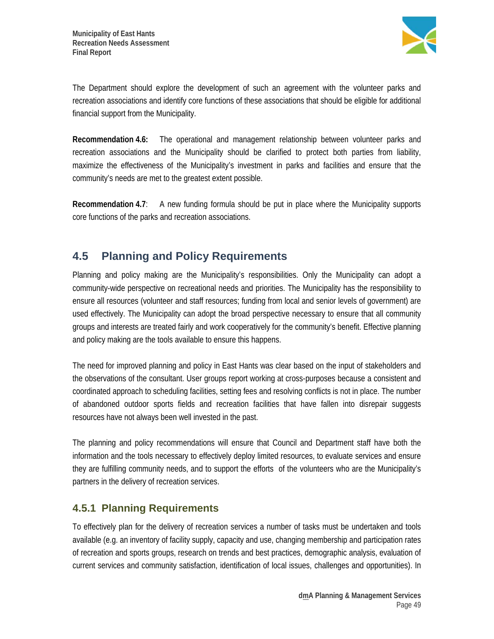

The Department should explore the development of such an agreement with the volunteer parks and recreation associations and identify core functions of these associations that should be eligible for additional financial support from the Municipality.

**Recommendation 4.6:** The operational and management relationship between volunteer parks and recreation associations and the Municipality should be clarified to protect both parties from liability, maximize the effectiveness of the Municipality's investment in parks and facilities and ensure that the community's needs are met to the greatest extent possible.

**Recommendation 4.7**: A new funding formula should be put in place where the Municipality supports core functions of the parks and recreation associations.

# **4.5 Planning and Policy Requirements**

Planning and policy making are the Municipality's responsibilities. Only the Municipality can adopt a community-wide perspective on recreational needs and priorities. The Municipality has the responsibility to ensure all resources (volunteer and staff resources; funding from local and senior levels of government) are used effectively. The Municipality can adopt the broad perspective necessary to ensure that all community groups and interests are treated fairly and work cooperatively for the community's benefit. Effective planning and policy making are the tools available to ensure this happens.

The need for improved planning and policy in East Hants was clear based on the input of stakeholders and the observations of the consultant. User groups report working at cross-purposes because a consistent and coordinated approach to scheduling facilities, setting fees and resolving conflicts is not in place. The number of abandoned outdoor sports fields and recreation facilities that have fallen into disrepair suggests resources have not always been well invested in the past.

The planning and policy recommendations will ensure that Council and Department staff have both the information and the tools necessary to effectively deploy limited resources, to evaluate services and ensure they are fulfilling community needs, and to support the efforts of the volunteers who are the Municipality's partners in the delivery of recreation services.

### **4.5.1 Planning Requirements**

To effectively plan for the delivery of recreation services a number of tasks must be undertaken and tools available (e.g. an inventory of facility supply, capacity and use, changing membership and participation rates of recreation and sports groups, research on trends and best practices, demographic analysis, evaluation of current services and community satisfaction, identification of local issues, challenges and opportunities). In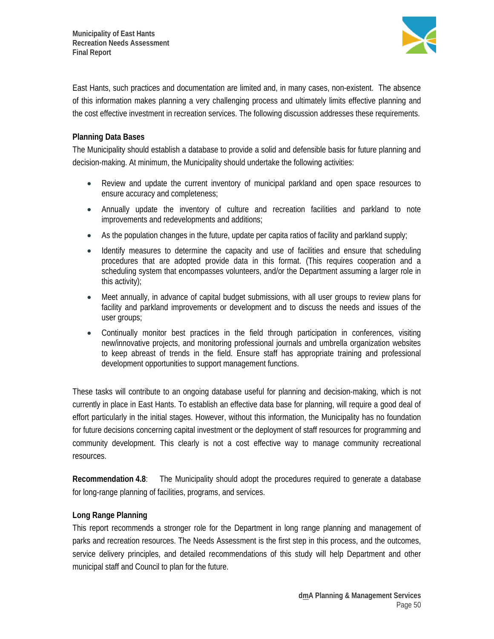

East Hants, such practices and documentation are limited and, in many cases, non-existent. The absence of this information makes planning a very challenging process and ultimately limits effective planning and the cost effective investment in recreation services. The following discussion addresses these requirements.

#### **Planning Data Bases**

The Municipality should establish a database to provide a solid and defensible basis for future planning and decision-making. At minimum, the Municipality should undertake the following activities:

- Review and update the current inventory of municipal parkland and open space resources to ensure accuracy and completeness;
- Annually update the inventory of culture and recreation facilities and parkland to note improvements and redevelopments and additions;
- As the population changes in the future, update per capita ratios of facility and parkland supply;
- Identify measures to determine the capacity and use of facilities and ensure that scheduling procedures that are adopted provide data in this format. (This requires cooperation and a scheduling system that encompasses volunteers, and/or the Department assuming a larger role in this activity);
- Meet annually, in advance of capital budget submissions, with all user groups to review plans for facility and parkland improvements or development and to discuss the needs and issues of the user groups;
- Continually monitor best practices in the field through participation in conferences, visiting new/innovative projects, and monitoring professional journals and umbrella organization websites to keep abreast of trends in the field. Ensure staff has appropriate training and professional development opportunities to support management functions.

These tasks will contribute to an ongoing database useful for planning and decision-making, which is not currently in place in East Hants. To establish an effective data base for planning, will require a good deal of effort particularly in the initial stages. However, without this information, the Municipality has no foundation for future decisions concerning capital investment or the deployment of staff resources for programming and community development. This clearly is not a cost effective way to manage community recreational resources.

**Recommendation 4.8**: The Municipality should adopt the procedures required to generate a database for long-range planning of facilities, programs, and services.

### **Long Range Planning**

This report recommends a stronger role for the Department in long range planning and management of parks and recreation resources. The Needs Assessment is the first step in this process, and the outcomes, service delivery principles, and detailed recommendations of this study will help Department and other municipal staff and Council to plan for the future.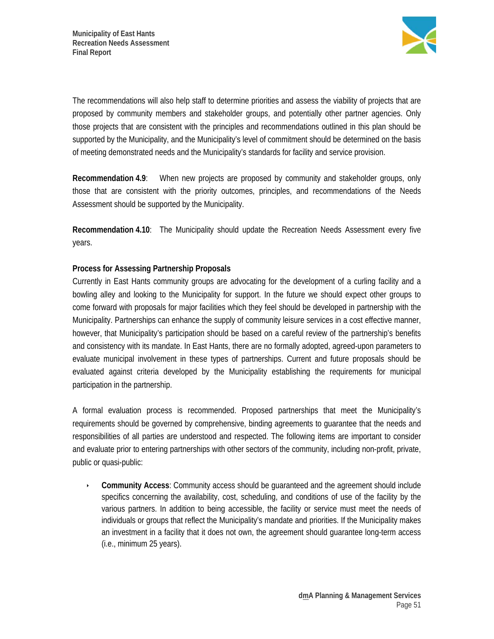

The recommendations will also help staff to determine priorities and assess the viability of projects that are proposed by community members and stakeholder groups, and potentially other partner agencies. Only those projects that are consistent with the principles and recommendations outlined in this plan should be supported by the Municipality, and the Municipality's level of commitment should be determined on the basis of meeting demonstrated needs and the Municipality's standards for facility and service provision.

**Recommendation 4.9**: When new projects are proposed by community and stakeholder groups, only those that are consistent with the priority outcomes, principles, and recommendations of the Needs Assessment should be supported by the Municipality.

**Recommendation 4.10**: The Municipality should update the Recreation Needs Assessment every five years.

### **Process for Assessing Partnership Proposals**

Currently in East Hants community groups are advocating for the development of a curling facility and a bowling alley and looking to the Municipality for support. In the future we should expect other groups to come forward with proposals for major facilities which they feel should be developed in partnership with the Municipality. Partnerships can enhance the supply of community leisure services in a cost effective manner, however, that Municipality's participation should be based on a careful review of the partnership's benefits and consistency with its mandate. In East Hants, there are no formally adopted, agreed-upon parameters to evaluate municipal involvement in these types of partnerships. Current and future proposals should be evaluated against criteria developed by the Municipality establishing the requirements for municipal participation in the partnership.

A formal evaluation process is recommended. Proposed partnerships that meet the Municipality's requirements should be governed by comprehensive, binding agreements to guarantee that the needs and responsibilities of all parties are understood and respected. The following items are important to consider and evaluate prior to entering partnerships with other sectors of the community, including non-profit, private, public or quasi-public:

 **Community Access**: Community access should be guaranteed and the agreement should include specifics concerning the availability, cost, scheduling, and conditions of use of the facility by the various partners. In addition to being accessible, the facility or service must meet the needs of individuals or groups that reflect the Municipality's mandate and priorities. If the Municipality makes an investment in a facility that it does not own, the agreement should guarantee long-term access (i.e., minimum 25 years).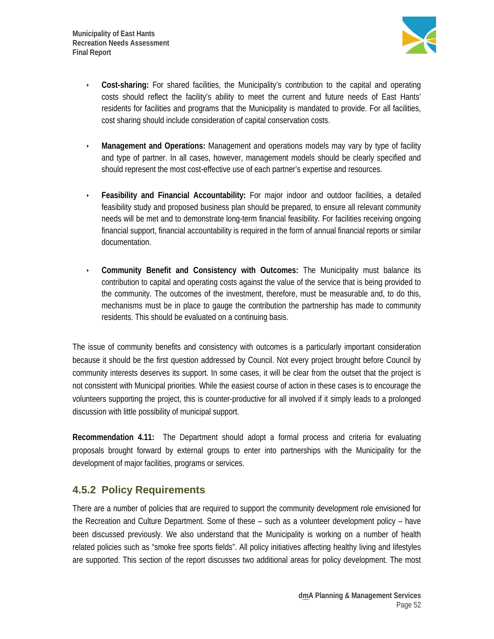

- **Cost-sharing:** For shared facilities, the Municipality's contribution to the capital and operating costs should reflect the facility's ability to meet the current and future needs of East Hants' residents for facilities and programs that the Municipality is mandated to provide. For all facilities, cost sharing should include consideration of capital conservation costs.
- **Management and Operations:** Management and operations models may vary by type of facility and type of partner. In all cases, however, management models should be clearly specified and should represent the most cost-effective use of each partner's expertise and resources.
- **Feasibility and Financial Accountability:** For major indoor and outdoor facilities, a detailed feasibility study and proposed business plan should be prepared, to ensure all relevant community needs will be met and to demonstrate long-term financial feasibility. For facilities receiving ongoing financial support, financial accountability is required in the form of annual financial reports or similar documentation.
- **Community Benefit and Consistency with Outcomes:** The Municipality must balance its contribution to capital and operating costs against the value of the service that is being provided to the community. The outcomes of the investment, therefore, must be measurable and, to do this, mechanisms must be in place to gauge the contribution the partnership has made to community residents. This should be evaluated on a continuing basis.

The issue of community benefits and consistency with outcomes is a particularly important consideration because it should be the first question addressed by Council. Not every project brought before Council by community interests deserves its support. In some cases, it will be clear from the outset that the project is not consistent with Municipal priorities. While the easiest course of action in these cases is to encourage the volunteers supporting the project, this is counter-productive for all involved if it simply leads to a prolonged discussion with little possibility of municipal support.

**Recommendation 4.11:** The Department should adopt a formal process and criteria for evaluating proposals brought forward by external groups to enter into partnerships with the Municipality for the development of major facilities, programs or services.

### **4.5.2 Policy Requirements**

There are a number of policies that are required to support the community development role envisioned for the Recreation and Culture Department. Some of these – such as a volunteer development policy – have been discussed previously. We also understand that the Municipality is working on a number of health related policies such as "smoke free sports fields". All policy initiatives affecting healthy living and lifestyles are supported. This section of the report discusses two additional areas for policy development. The most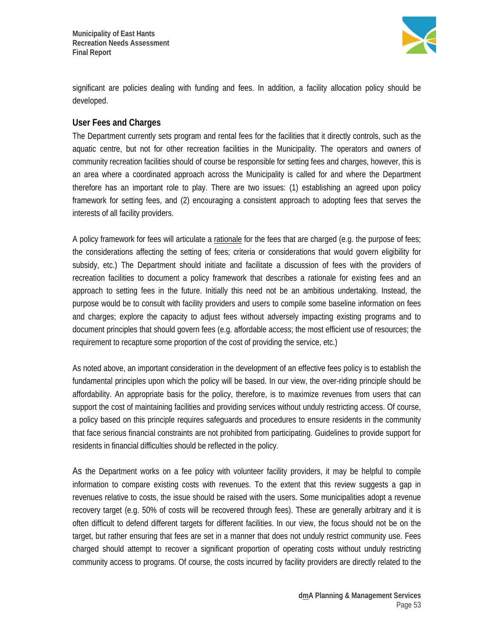

significant are policies dealing with funding and fees. In addition, a facility allocation policy should be developed.

### **User Fees and Charges**

The Department currently sets program and rental fees for the facilities that it directly controls, such as the aquatic centre, but not for other recreation facilities in the Municipality. The operators and owners of community recreation facilities should of course be responsible for setting fees and charges, however, this is an area where a coordinated approach across the Municipality is called for and where the Department therefore has an important role to play. There are two issues: (1) establishing an agreed upon policy framework for setting fees, and (2) encouraging a consistent approach to adopting fees that serves the interests of all facility providers.

A policy framework for fees will articulate a rationale for the fees that are charged (e.g. the purpose of fees; the considerations affecting the setting of fees; criteria or considerations that would govern eligibility for subsidy, etc.) The Department should initiate and facilitate a discussion of fees with the providers of recreation facilities to document a policy framework that describes a rationale for existing fees and an approach to setting fees in the future. Initially this need not be an ambitious undertaking. Instead, the purpose would be to consult with facility providers and users to compile some baseline information on fees and charges; explore the capacity to adjust fees without adversely impacting existing programs and to document principles that should govern fees (e.g. affordable access; the most efficient use of resources; the requirement to recapture some proportion of the cost of providing the service, etc.)

As noted above, an important consideration in the development of an effective fees policy is to establish the fundamental principles upon which the policy will be based. In our view, the over-riding principle should be affordability. An appropriate basis for the policy, therefore, is to maximize revenues from users that can support the cost of maintaining facilities and providing services without unduly restricting access. Of course, a policy based on this principle requires safeguards and procedures to ensure residents in the community that face serious financial constraints are not prohibited from participating. Guidelines to provide support for residents in financial difficulties should be reflected in the policy.

As the Department works on a fee policy with volunteer facility providers, it may be helpful to compile information to compare existing costs with revenues. To the extent that this review suggests a gap in revenues relative to costs, the issue should be raised with the users. Some municipalities adopt a revenue recovery target (e.g. 50% of costs will be recovered through fees). These are generally arbitrary and it is often difficult to defend different targets for different facilities. In our view, the focus should not be on the target, but rather ensuring that fees are set in a manner that does not unduly restrict community use. Fees charged should attempt to recover a significant proportion of operating costs without unduly restricting community access to programs. Of course, the costs incurred by facility providers are directly related to the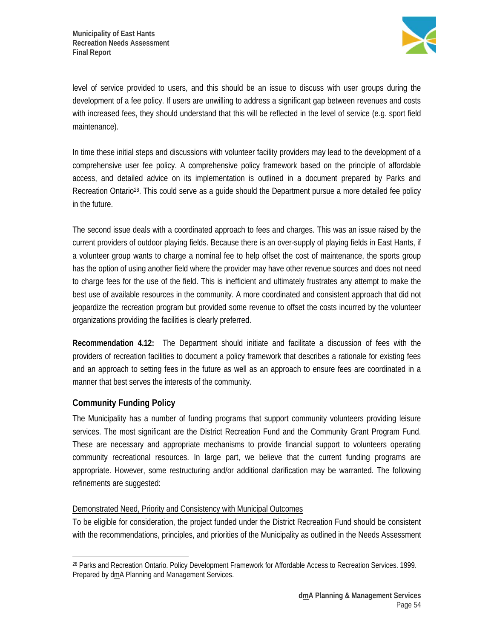

level of service provided to users, and this should be an issue to discuss with user groups during the development of a fee policy. If users are unwilling to address a significant gap between revenues and costs with increased fees, they should understand that this will be reflected in the level of service (e.g. sport field maintenance).

In time these initial steps and discussions with volunteer facility providers may lead to the development of a comprehensive user fee policy. A comprehensive policy framework based on the principle of affordable access, and detailed advice on its implementation is outlined in a document prepared by Parks and Recreation Ontario<sup>28</sup>. This could serve as a quide should the Department pursue a more detailed fee policy in the future.

The second issue deals with a coordinated approach to fees and charges. This was an issue raised by the current providers of outdoor playing fields. Because there is an over-supply of playing fields in East Hants, if a volunteer group wants to charge a nominal fee to help offset the cost of maintenance, the sports group has the option of using another field where the provider may have other revenue sources and does not need to charge fees for the use of the field. This is inefficient and ultimately frustrates any attempt to make the best use of available resources in the community. A more coordinated and consistent approach that did not jeopardize the recreation program but provided some revenue to offset the costs incurred by the volunteer organizations providing the facilities is clearly preferred.

**Recommendation 4.12:** The Department should initiate and facilitate a discussion of fees with the providers of recreation facilities to document a policy framework that describes a rationale for existing fees and an approach to setting fees in the future as well as an approach to ensure fees are coordinated in a manner that best serves the interests of the community.

### **Community Funding Policy**

 $\overline{\phantom{a}}$ 

The Municipality has a number of funding programs that support community volunteers providing leisure services. The most significant are the District Recreation Fund and the Community Grant Program Fund. These are necessary and appropriate mechanisms to provide financial support to volunteers operating community recreational resources. In large part, we believe that the current funding programs are appropriate. However, some restructuring and/or additional clarification may be warranted. The following refinements are suggested:

### Demonstrated Need, Priority and Consistency with Municipal Outcomes

To be eligible for consideration, the project funded under the District Recreation Fund should be consistent with the recommendations, principles, and priorities of the Municipality as outlined in the Needs Assessment

<sup>28</sup> Parks and Recreation Ontario. Policy Development Framework for Affordable Access to Recreation Services. 1999. Prepared by dmA Planning and Management Services.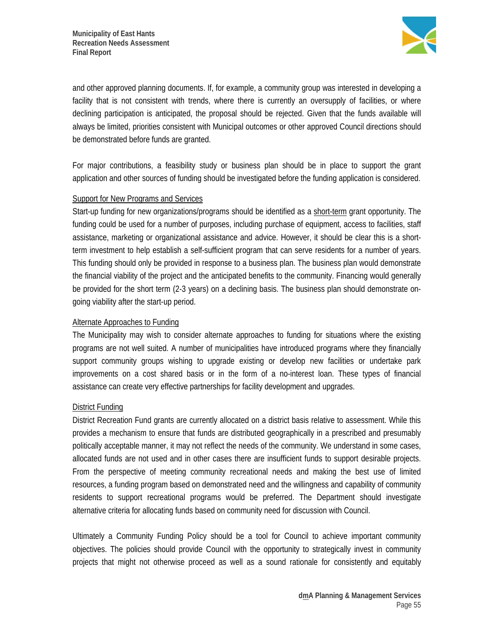

and other approved planning documents. If, for example, a community group was interested in developing a facility that is not consistent with trends, where there is currently an oversupply of facilities, or where declining participation is anticipated, the proposal should be rejected. Given that the funds available will always be limited, priorities consistent with Municipal outcomes or other approved Council directions should be demonstrated before funds are granted.

For major contributions, a feasibility study or business plan should be in place to support the grant application and other sources of funding should be investigated before the funding application is considered.

#### Support for New Programs and Services

Start-up funding for new organizations/programs should be identified as a short-term grant opportunity. The funding could be used for a number of purposes, including purchase of equipment, access to facilities, staff assistance, marketing or organizational assistance and advice. However, it should be clear this is a shortterm investment to help establish a self-sufficient program that can serve residents for a number of years. This funding should only be provided in response to a business plan. The business plan would demonstrate the financial viability of the project and the anticipated benefits to the community. Financing would generally be provided for the short term (2-3 years) on a declining basis. The business plan should demonstrate ongoing viability after the start-up period.

#### Alternate Approaches to Funding

The Municipality may wish to consider alternate approaches to funding for situations where the existing programs are not well suited. A number of municipalities have introduced programs where they financially support community groups wishing to upgrade existing or develop new facilities or undertake park improvements on a cost shared basis or in the form of a no-interest loan. These types of financial assistance can create very effective partnerships for facility development and upgrades.

### District Funding

District Recreation Fund grants are currently allocated on a district basis relative to assessment. While this provides a mechanism to ensure that funds are distributed geographically in a prescribed and presumably politically acceptable manner, it may not reflect the needs of the community. We understand in some cases, allocated funds are not used and in other cases there are insufficient funds to support desirable projects. From the perspective of meeting community recreational needs and making the best use of limited resources, a funding program based on demonstrated need and the willingness and capability of community residents to support recreational programs would be preferred. The Department should investigate alternative criteria for allocating funds based on community need for discussion with Council.

Ultimately a Community Funding Policy should be a tool for Council to achieve important community objectives. The policies should provide Council with the opportunity to strategically invest in community projects that might not otherwise proceed as well as a sound rationale for consistently and equitably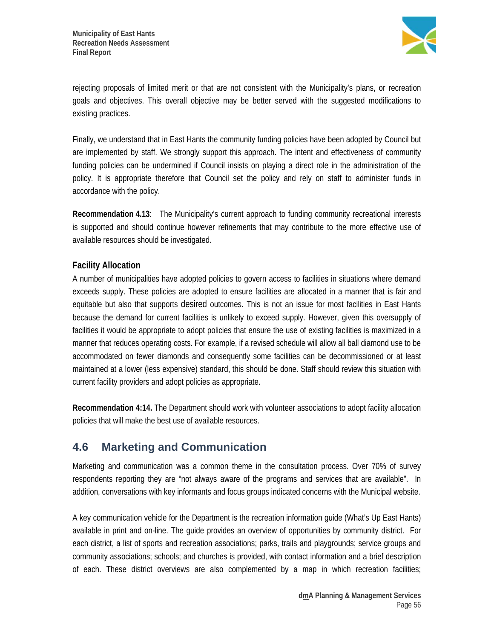

rejecting proposals of limited merit or that are not consistent with the Municipality's plans, or recreation goals and objectives. This overall objective may be better served with the suggested modifications to existing practices.

Finally, we understand that in East Hants the community funding policies have been adopted by Council but are implemented by staff. We strongly support this approach. The intent and effectiveness of community funding policies can be undermined if Council insists on playing a direct role in the administration of the policy. It is appropriate therefore that Council set the policy and rely on staff to administer funds in accordance with the policy.

**Recommendation 4.13**: The Municipality's current approach to funding community recreational interests is supported and should continue however refinements that may contribute to the more effective use of available resources should be investigated.

### **Facility Allocation**

A number of municipalities have adopted policies to govern access to facilities in situations where demand exceeds supply. These policies are adopted to ensure facilities are allocated in a manner that is fair and equitable but also that supports desired outcomes. This is not an issue for most facilities in East Hants because the demand for current facilities is unlikely to exceed supply. However, given this oversupply of facilities it would be appropriate to adopt policies that ensure the use of existing facilities is maximized in a manner that reduces operating costs. For example, if a revised schedule will allow all ball diamond use to be accommodated on fewer diamonds and consequently some facilities can be decommissioned or at least maintained at a lower (less expensive) standard, this should be done. Staff should review this situation with current facility providers and adopt policies as appropriate.

**Recommendation 4:14.** The Department should work with volunteer associations to adopt facility allocation policies that will make the best use of available resources.

# **4.6 Marketing and Communication**

Marketing and communication was a common theme in the consultation process. Over 70% of survey respondents reporting they are "not always aware of the programs and services that are available". In addition, conversations with key informants and focus groups indicated concerns with the Municipal website.

A key communication vehicle for the Department is the recreation information guide (What's Up East Hants) available in print and on-line. The guide provides an overview of opportunities by community district. For each district, a list of sports and recreation associations; parks, trails and playgrounds; service groups and community associations; schools; and churches is provided, with contact information and a brief description of each. These district overviews are also complemented by a map in which recreation facilities;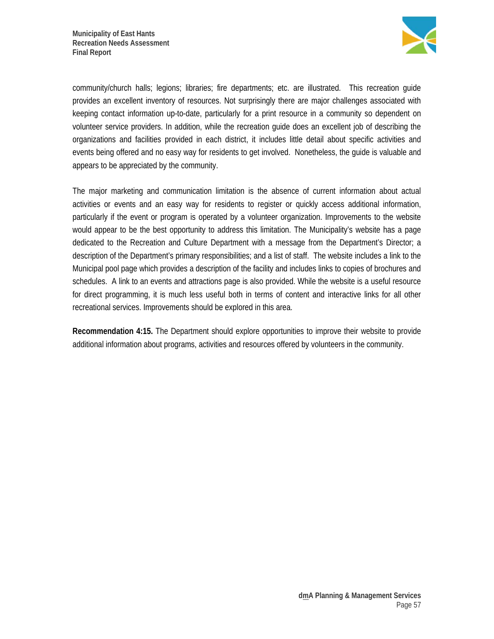

community/church halls; legions; libraries; fire departments; etc. are illustrated. This recreation guide provides an excellent inventory of resources. Not surprisingly there are major challenges associated with keeping contact information up-to-date, particularly for a print resource in a community so dependent on volunteer service providers. In addition, while the recreation guide does an excellent job of describing the organizations and facilities provided in each district, it includes little detail about specific activities and events being offered and no easy way for residents to get involved. Nonetheless, the guide is valuable and appears to be appreciated by the community.

The major marketing and communication limitation is the absence of current information about actual activities or events and an easy way for residents to register or quickly access additional information, particularly if the event or program is operated by a volunteer organization. Improvements to the website would appear to be the best opportunity to address this limitation. The Municipality's website has a page dedicated to the Recreation and Culture Department with a message from the Department's Director; a description of the Department's primary responsibilities; and a list of staff. The website includes a link to the Municipal pool page which provides a description of the facility and includes links to copies of brochures and schedules. A link to an events and attractions page is also provided. While the website is a useful resource for direct programming, it is much less useful both in terms of content and interactive links for all other recreational services. Improvements should be explored in this area.

**Recommendation 4:15.** The Department should explore opportunities to improve their website to provide additional information about programs, activities and resources offered by volunteers in the community.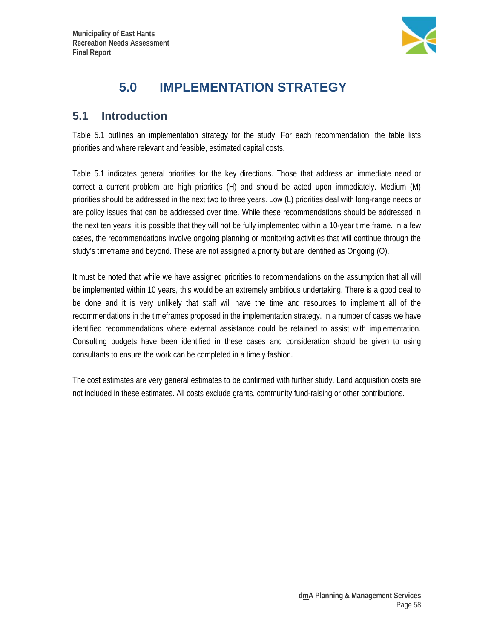

# **5.0 IMPLEMENTATION STRATEGY**

## **5.1 Introduction**

Table 5.1 outlines an implementation strategy for the study. For each recommendation, the table lists priorities and where relevant and feasible, estimated capital costs.

Table 5.1 indicates general priorities for the key directions. Those that address an immediate need or correct a current problem are high priorities (H) and should be acted upon immediately. Medium (M) priorities should be addressed in the next two to three years. Low (L) priorities deal with long-range needs or are policy issues that can be addressed over time. While these recommendations should be addressed in the next ten years, it is possible that they will not be fully implemented within a 10-year time frame. In a few cases, the recommendations involve ongoing planning or monitoring activities that will continue through the study's timeframe and beyond. These are not assigned a priority but are identified as Ongoing (O).

It must be noted that while we have assigned priorities to recommendations on the assumption that all will be implemented within 10 years, this would be an extremely ambitious undertaking. There is a good deal to be done and it is very unlikely that staff will have the time and resources to implement all of the recommendations in the timeframes proposed in the implementation strategy. In a number of cases we have identified recommendations where external assistance could be retained to assist with implementation. Consulting budgets have been identified in these cases and consideration should be given to using consultants to ensure the work can be completed in a timely fashion.

The cost estimates are very general estimates to be confirmed with further study. Land acquisition costs are not included in these estimates. All costs exclude grants, community fund-raising or other contributions.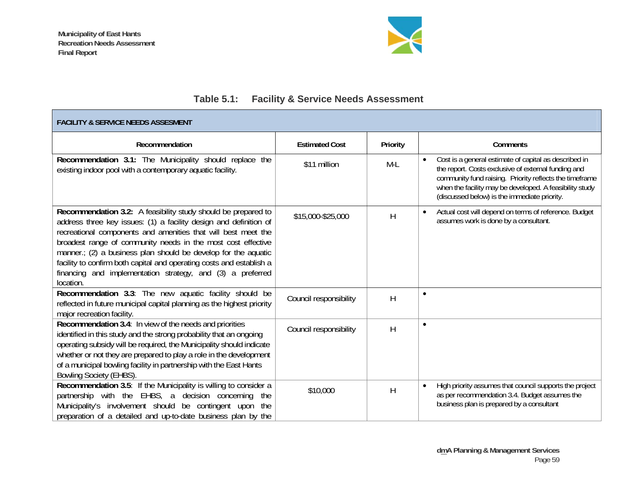

# **Table 5.1: Facility & Service Needs Assessment**

| <b>FACILITY &amp; SERVICE NEEDS ASSESMENT</b>                                                                                                                                                                                                                                                                                                                                                                                                                                            |                        |          |                                                                                                                                                                                                                                                                                                 |  |  |
|------------------------------------------------------------------------------------------------------------------------------------------------------------------------------------------------------------------------------------------------------------------------------------------------------------------------------------------------------------------------------------------------------------------------------------------------------------------------------------------|------------------------|----------|-------------------------------------------------------------------------------------------------------------------------------------------------------------------------------------------------------------------------------------------------------------------------------------------------|--|--|
| Recommendation                                                                                                                                                                                                                                                                                                                                                                                                                                                                           | <b>Estimated Cost</b>  | Priority | Comments                                                                                                                                                                                                                                                                                        |  |  |
| Recommendation 3.1: The Municipality should replace the<br>existing indoor pool with a contemporary aquatic facility.                                                                                                                                                                                                                                                                                                                                                                    | \$11 million           | $M-L$    | Cost is a general estimate of capital as described in<br>$\bullet$<br>the report. Costs exclusive of external funding and<br>community fund raising. Priority reflects the timeframe<br>when the facility may be developed. A feasibility study<br>(discussed below) is the immediate priority. |  |  |
| Recommendation 3.2: A feasibility study should be prepared to<br>address three key issues: (1) a facility design and definition of<br>recreational components and amenities that will best meet the<br>broadest range of community needs in the most cost effective<br>manner.; (2) a business plan should be develop for the aquatic<br>facility to confirm both capital and operating costs and establish a<br>financing and implementation strategy, and (3) a preferred<br>location. | \$15,000-\$25,000      | H        | Actual cost will depend on terms of reference. Budget<br>assumes work is done by a consultant.                                                                                                                                                                                                  |  |  |
| Recommendation 3.3: The new aquatic facility should be<br>reflected in future municipal capital planning as the highest priority<br>major recreation facility.                                                                                                                                                                                                                                                                                                                           | Council responsibility | H        | $\bullet$                                                                                                                                                                                                                                                                                       |  |  |
| Recommendation 3.4: In view of the needs and priorities<br>identified in this study and the strong probability that an ongoing<br>operating subsidy will be required, the Municipality should indicate<br>whether or not they are prepared to play a role in the development<br>of a municipal bowling facility in partnership with the East Hants<br>Bowling Society (EHBS).                                                                                                            | Council responsibility | H        | $\bullet$                                                                                                                                                                                                                                                                                       |  |  |
| Recommendation 3.5: If the Municipality is willing to consider a<br>partnership with the EHBS, a decision concerning<br>the<br>Municipality's involvement should be contingent upon the<br>preparation of a detailed and up-to-date business plan by the                                                                                                                                                                                                                                 | \$10,000               | H        | High priority assumes that council supports the project<br>as per recommendation 3.4. Budget assumes the<br>business plan is prepared by a consultant                                                                                                                                           |  |  |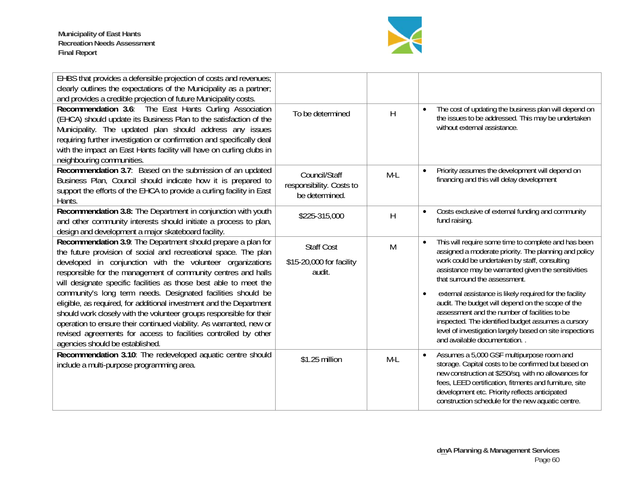

| EHBS that provides a defensible projection of costs and revenues;<br>clearly outlines the expectations of the Municipality as a partner;<br>and provides a credible projection of future Municipality costs.                                                                                                                                                                                                                                                                                                                                                                                                                                                                                                                  |                                                             |       |                                                                                                                                                                                                                                                                                                                                                                                                                                                                                                                                                                                                    |
|-------------------------------------------------------------------------------------------------------------------------------------------------------------------------------------------------------------------------------------------------------------------------------------------------------------------------------------------------------------------------------------------------------------------------------------------------------------------------------------------------------------------------------------------------------------------------------------------------------------------------------------------------------------------------------------------------------------------------------|-------------------------------------------------------------|-------|----------------------------------------------------------------------------------------------------------------------------------------------------------------------------------------------------------------------------------------------------------------------------------------------------------------------------------------------------------------------------------------------------------------------------------------------------------------------------------------------------------------------------------------------------------------------------------------------------|
| Recommendation 3.6: The East Hants Curling Association<br>(EHCA) should update its Business Plan to the satisfaction of the<br>Municipality. The updated plan should address any issues<br>requiring further investigation or confirmation and specifically deal<br>with the impact an East Hants facility will have on curling clubs in<br>neighbouring communities.                                                                                                                                                                                                                                                                                                                                                         | To be determined                                            | H     | The cost of updating the business plan will depend on<br>$\bullet$<br>the issues to be addressed. This may be undertaken<br>without external assistance.                                                                                                                                                                                                                                                                                                                                                                                                                                           |
| Recommendation 3.7: Based on the submission of an updated<br>Business Plan, Council should indicate how it is prepared to<br>support the efforts of the EHCA to provide a curling facility in East<br>Hants.                                                                                                                                                                                                                                                                                                                                                                                                                                                                                                                  | Council/Staff<br>responsibility. Costs to<br>be determined. | $M-L$ | Priority assumes the development will depend on<br>$\bullet$<br>financing and this will delay development                                                                                                                                                                                                                                                                                                                                                                                                                                                                                          |
| Recommendation 3.8: The Department in conjunction with youth<br>and other community interests should initiate a process to plan,<br>design and development a major skateboard facility.                                                                                                                                                                                                                                                                                                                                                                                                                                                                                                                                       | \$225-315,000                                               | H     | Costs exclusive of external funding and community<br>$\bullet$<br>fund raising.                                                                                                                                                                                                                                                                                                                                                                                                                                                                                                                    |
| Recommendation 3.9: The Department should prepare a plan for<br>the future provision of social and recreational space. The plan<br>developed in conjunction with the volunteer organizations<br>responsible for the management of community centres and halls<br>will designate specific facilities as those best able to meet the<br>community's long term needs. Designated facilities should be<br>eligible, as required, for additional investment and the Department<br>should work closely with the volunteer groups responsible for their<br>operation to ensure their continued viability. As warranted, new or<br>revised agreements for access to facilities controlled by other<br>agencies should be established. | <b>Staff Cost</b><br>\$15-20,000 for facility<br>audit.     | M     | This will require some time to complete and has been<br>$\bullet$<br>assigned a moderate priority. The planning and policy<br>work could be undertaken by staff, consulting<br>assistance may be warranted given the sensitivities<br>that surround the assessment.<br>external assistance is likely required for the facility<br>$\bullet$<br>audit. The budget will depend on the scope of the<br>assessment and the number of facilities to be<br>inspected. The identified budget assumes a cursory<br>level of investigation largely based on site inspections<br>and available documentation |
| Recommendation 3.10: The redeveloped aquatic centre should<br>include a multi-purpose programming area.                                                                                                                                                                                                                                                                                                                                                                                                                                                                                                                                                                                                                       | \$1.25 million                                              | M-L   | Assumes a 5,000 GSF multipurpose room and<br>$\bullet$<br>storage. Capital costs to be confirmed but based on<br>new construction at \$250/sq. with no allowances for<br>fees, LEED certification, fitments and furniture, site<br>development etc. Priority reflects anticipated<br>construction schedule for the new aquatic centre.                                                                                                                                                                                                                                                             |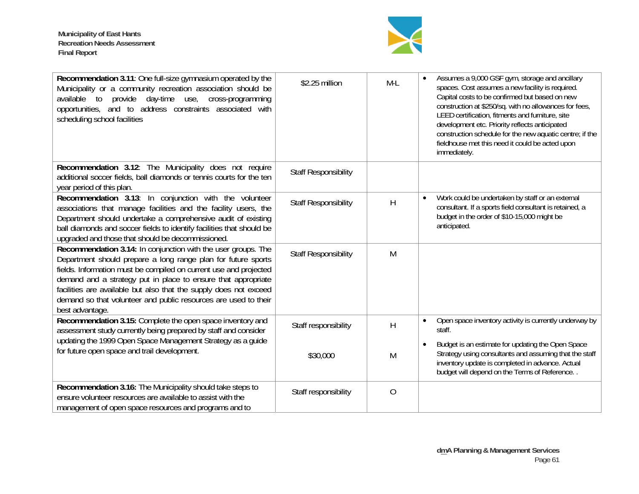

| Recommendation 3.11: One full-size gymnasium operated by the<br>Municipality or a community recreation association should be<br>available to provide day-time use, cross-programming<br>opportunities, and to address constraints associated with<br>scheduling school facilities                                                                                                                                               | \$2.25 million              | $M-L$          | Assumes a 9,000 GSF gym, storage and ancillary<br>spaces. Cost assumes a new facility is required.<br>Capital costs to be confirmed but based on new<br>construction at \$250/sq. with no allowances for fees,<br>LEED certification, fitments and furniture, site<br>development etc. Priority reflects anticipated<br>construction schedule for the new aquatic centre; if the<br>fieldhouse met this need it could be acted upon<br>immediately. |
|---------------------------------------------------------------------------------------------------------------------------------------------------------------------------------------------------------------------------------------------------------------------------------------------------------------------------------------------------------------------------------------------------------------------------------|-----------------------------|----------------|-----------------------------------------------------------------------------------------------------------------------------------------------------------------------------------------------------------------------------------------------------------------------------------------------------------------------------------------------------------------------------------------------------------------------------------------------------|
| Recommendation 3.12: The Municipality does not require<br>additional soccer fields, ball diamonds or tennis courts for the ten<br>year period of this plan.                                                                                                                                                                                                                                                                     | <b>Staff Responsibility</b> |                |                                                                                                                                                                                                                                                                                                                                                                                                                                                     |
| Recommendation 3.13: In conjunction with the volunteer<br>associations that manage facilities and the facility users, the<br>Department should undertake a comprehensive audit of existing<br>ball diamonds and soccer fields to identify facilities that should be<br>upgraded and those that should be decommissioned.                                                                                                        | <b>Staff Responsibility</b> | Н              | Work could be undertaken by staff or an external<br>$\bullet$<br>consultant. If a sports field consultant is retained, a<br>budget in the order of \$10-15,000 might be<br>anticipated.                                                                                                                                                                                                                                                             |
| Recommendation 3.14: In conjunction with the user groups. The<br>Department should prepare a long range plan for future sports<br>fields. Information must be compiled on current use and projected<br>demand and a strategy put in place to ensure that appropriate<br>facilities are available but also that the supply does not exceed<br>demand so that volunteer and public resources are used to their<br>best advantage. | <b>Staff Responsibility</b> | M              |                                                                                                                                                                                                                                                                                                                                                                                                                                                     |
| Recommendation 3.15: Complete the open space inventory and<br>assessment study currently being prepared by staff and consider<br>updating the 1999 Open Space Management Strategy as a guide                                                                                                                                                                                                                                    | Staff responsibility        | Η              | Open space inventory activity is currently underway by<br>$\bullet$<br>staff.<br>Budget is an estimate for updating the Open Space<br>$\bullet$                                                                                                                                                                                                                                                                                                     |
| for future open space and trail development.                                                                                                                                                                                                                                                                                                                                                                                    | \$30,000                    | M              | Strategy using consultants and assuming that the staff<br>inventory update is completed in advance. Actual<br>budget will depend on the Terms of Reference                                                                                                                                                                                                                                                                                          |
| Recommendation 3.16: The Municipality should take steps to<br>ensure volunteer resources are available to assist with the<br>management of open space resources and programs and to                                                                                                                                                                                                                                             | Staff responsibility        | $\overline{O}$ |                                                                                                                                                                                                                                                                                                                                                                                                                                                     |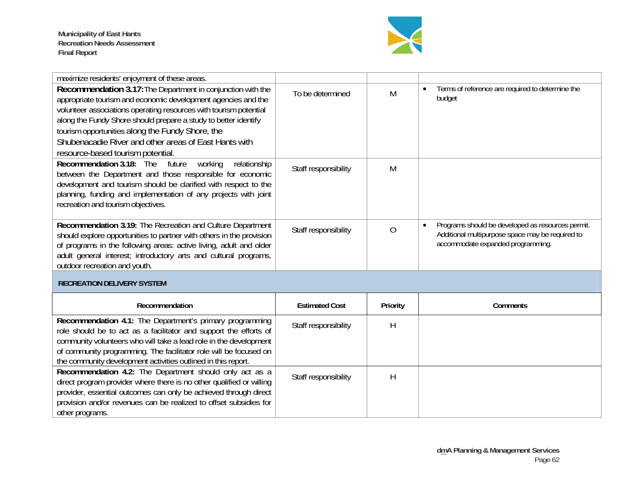**Municipality of East Hants Recreation Needs Assessment Final Report** 



| maximize residents' enjoyment of these areas.                                                                                                                                                                                                                                                                                                                                                                          |                       |                |                                                                                                                                            |
|------------------------------------------------------------------------------------------------------------------------------------------------------------------------------------------------------------------------------------------------------------------------------------------------------------------------------------------------------------------------------------------------------------------------|-----------------------|----------------|--------------------------------------------------------------------------------------------------------------------------------------------|
| Recommendation 3.17: The Department in conjunction with the<br>appropriate tourism and economic development agencies and the<br>volunteer associations operating resources with tourism potential<br>along the Fundy Shore should prepare a study to better identify<br>tourism opportunities along the Fundy Shore, the<br>Shubenacadie River and other areas of East Hants with<br>resource-based tourism potential. | To be determined      | M              | Terms of reference are required to determine the<br>budget                                                                                 |
| Recommendation 3.18: The<br>future<br>working<br>relationship<br>between the Department and those responsible for economic<br>development and tourism should be clarified with respect to the<br>planning, funding and implementation of any projects with joint<br>recreation and tourism objectives.                                                                                                                 | Staff responsibility  | M              |                                                                                                                                            |
| Recommendation 3.19: The Recreation and Culture Department<br>should explore opportunities to partner with others in the provision<br>of programs in the following areas: active living, adult and older<br>adult general interest; introductory arts and cultural programs,<br>outdoor recreation and youth.                                                                                                          | Staff responsibility  | $\overline{O}$ | Programs should be developed as resources permit.<br>Additional multipurpose space may be required to<br>accommodate expanded programming. |
| <b>RECREATION DELIVERY SYSTEM</b>                                                                                                                                                                                                                                                                                                                                                                                      |                       |                |                                                                                                                                            |
| Recommendation                                                                                                                                                                                                                                                                                                                                                                                                         | <b>Estimated Cost</b> | Priority       | Comments                                                                                                                                   |
| Recommendation 4.1: The Department's primary programming<br>role should be to act as a facilitator and support the efforts of<br>community volunteers who will take a lead role in the development<br>of community programming. The facilitator role will be focused on<br>the community development activities outlined in this report.                                                                               | Staff responsibility  | Η              |                                                                                                                                            |
| Recommendation 4.2: The Department should only act as a<br>direct program provider where there is no other qualified or willing<br>provider, essential outcomes can only be achieved through direct<br>provision and/or revenues can be realized to offset subsidies for<br>other programs.                                                                                                                            | Staff responsibility  | H              |                                                                                                                                            |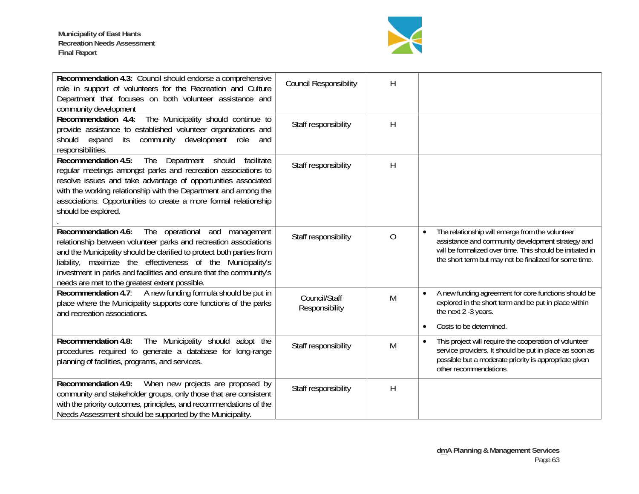

| Recommendation 4.3: Council should endorse a comprehensive<br>role in support of volunteers for the Recreation and Culture<br>Department that focuses on both volunteer assistance and<br>community development                                                                                                                                                                                        | <b>Council Responsibility</b>   | H              |                                                                                                                                                                                                                                          |
|--------------------------------------------------------------------------------------------------------------------------------------------------------------------------------------------------------------------------------------------------------------------------------------------------------------------------------------------------------------------------------------------------------|---------------------------------|----------------|------------------------------------------------------------------------------------------------------------------------------------------------------------------------------------------------------------------------------------------|
| The Municipality should continue to<br>Recommendation 4.4:<br>provide assistance to established volunteer organizations and<br>its community development role<br>expand<br>should<br>and<br>responsibilities.                                                                                                                                                                                          | Staff responsibility            | H              |                                                                                                                                                                                                                                          |
| <b>Recommendation 4.5:</b><br>The Department should<br>facilitate<br>regular meetings amongst parks and recreation associations to<br>resolve issues and take advantage of opportunities associated<br>with the working relationship with the Department and among the<br>associations. Opportunities to create a more formal relationship<br>should be explored.                                      | Staff responsibility            | H              |                                                                                                                                                                                                                                          |
| <b>Recommendation 4.6:</b><br>The operational<br>and<br>management<br>relationship between volunteer parks and recreation associations<br>and the Municipality should be clarified to protect both parties from<br>liability, maximize the effectiveness of the Municipality's<br>investment in parks and facilities and ensure that the community's<br>needs are met to the greatest extent possible. | Staff responsibility            | $\overline{O}$ | The relationship will emerge from the volunteer<br>$\bullet$<br>assistance and community development strategy and<br>will be formalized over time. This should be initiated in<br>the short term but may not be finalized for some time. |
| Recommendation 4.7: A new funding formula should be put in<br>place where the Municipality supports core functions of the parks<br>and recreation associations.                                                                                                                                                                                                                                        | Council/Staff<br>Responsibility | M              | A new funding agreement for core functions should be<br>$\bullet$<br>explored in the short term and be put in place within<br>the next 2 -3 years.<br>Costs to be determined.<br>$\bullet$                                               |
| The Municipality should adopt the<br><b>Recommendation 4.8:</b><br>procedures required to generate a database for long-range<br>planning of facilities, programs, and services.                                                                                                                                                                                                                        | Staff responsibility            | M              | This project will require the cooperation of volunteer<br>$\bullet$<br>service providers. It should be put in place as soon as<br>possible but a moderate priority is appropriate given<br>other recommendations.                        |
| Recommendation 4.9:<br>When new projects are proposed by<br>community and stakeholder groups, only those that are consistent<br>with the priority outcomes, principles, and recommendations of the<br>Needs Assessment should be supported by the Municipality.                                                                                                                                        | Staff responsibility            | $\mathsf{H}$   |                                                                                                                                                                                                                                          |